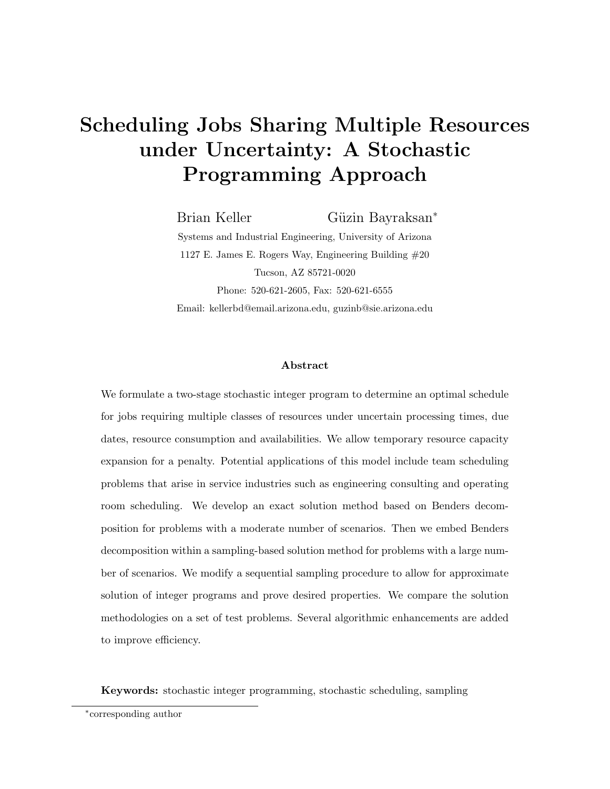# Scheduling Jobs Sharing Multiple Resources under Uncertainty: A Stochastic Programming Approach

Brian Keller Güzin Bayraksan<sup>∗</sup>

Systems and Industrial Engineering, University of Arizona 1127 E. James E. Rogers Way, Engineering Building #20 Tucson, AZ 85721-0020 Phone: 520-621-2605, Fax: 520-621-6555 Email: kellerbd@email.arizona.edu, guzinb@sie.arizona.edu

#### Abstract

We formulate a two-stage stochastic integer program to determine an optimal schedule for jobs requiring multiple classes of resources under uncertain processing times, due dates, resource consumption and availabilities. We allow temporary resource capacity expansion for a penalty. Potential applications of this model include team scheduling problems that arise in service industries such as engineering consulting and operating room scheduling. We develop an exact solution method based on Benders decomposition for problems with a moderate number of scenarios. Then we embed Benders decomposition within a sampling-based solution method for problems with a large number of scenarios. We modify a sequential sampling procedure to allow for approximate solution of integer programs and prove desired properties. We compare the solution methodologies on a set of test problems. Several algorithmic enhancements are added to improve efficiency.

Keywords: stochastic integer programming, stochastic scheduling, sampling

<sup>∗</sup> corresponding author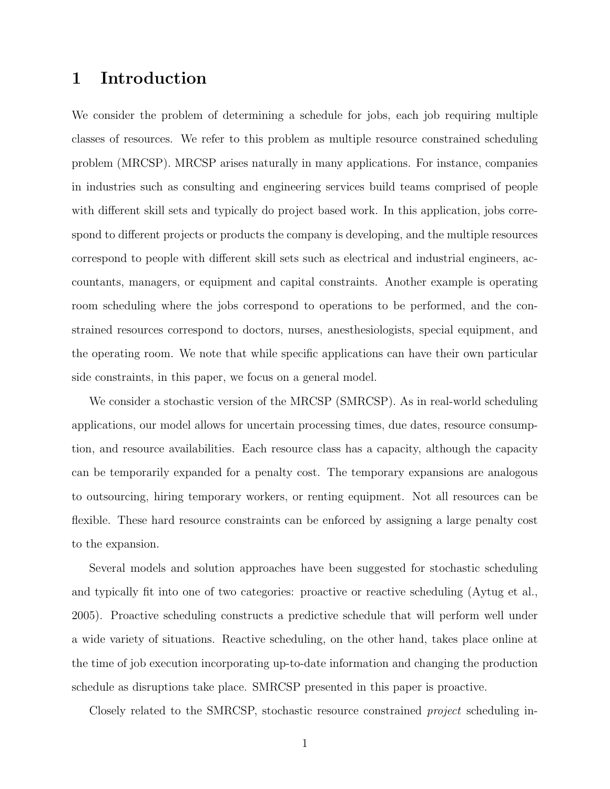# 1 Introduction

We consider the problem of determining a schedule for jobs, each job requiring multiple classes of resources. We refer to this problem as multiple resource constrained scheduling problem (MRCSP). MRCSP arises naturally in many applications. For instance, companies in industries such as consulting and engineering services build teams comprised of people with different skill sets and typically do project based work. In this application, jobs correspond to different projects or products the company is developing, and the multiple resources correspond to people with different skill sets such as electrical and industrial engineers, accountants, managers, or equipment and capital constraints. Another example is operating room scheduling where the jobs correspond to operations to be performed, and the constrained resources correspond to doctors, nurses, anesthesiologists, special equipment, and the operating room. We note that while specific applications can have their own particular side constraints, in this paper, we focus on a general model.

We consider a stochastic version of the MRCSP (SMRCSP). As in real-world scheduling applications, our model allows for uncertain processing times, due dates, resource consumption, and resource availabilities. Each resource class has a capacity, although the capacity can be temporarily expanded for a penalty cost. The temporary expansions are analogous to outsourcing, hiring temporary workers, or renting equipment. Not all resources can be flexible. These hard resource constraints can be enforced by assigning a large penalty cost to the expansion.

Several models and solution approaches have been suggested for stochastic scheduling and typically fit into one of two categories: proactive or reactive scheduling (Aytug et al., 2005). Proactive scheduling constructs a predictive schedule that will perform well under a wide variety of situations. Reactive scheduling, on the other hand, takes place online at the time of job execution incorporating up-to-date information and changing the production schedule as disruptions take place. SMRCSP presented in this paper is proactive.

Closely related to the SMRCSP, stochastic resource constrained project scheduling in-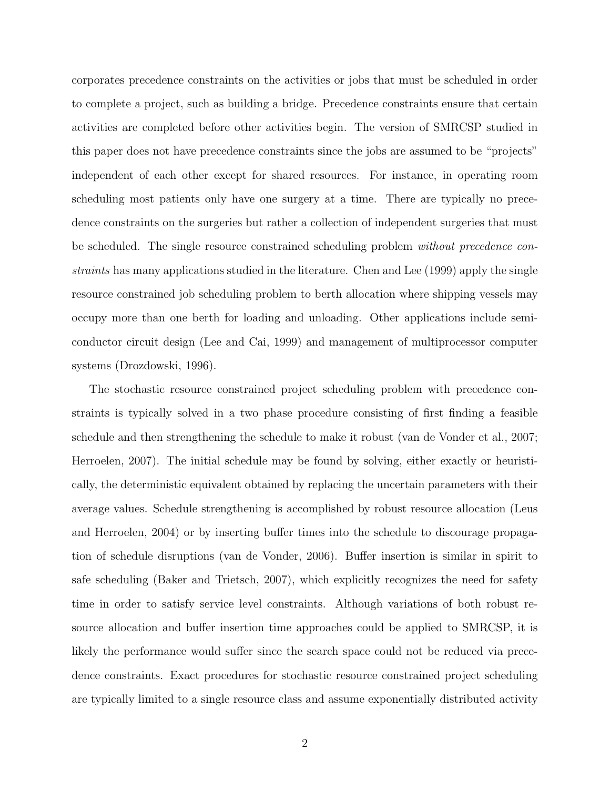corporates precedence constraints on the activities or jobs that must be scheduled in order to complete a project, such as building a bridge. Precedence constraints ensure that certain activities are completed before other activities begin. The version of SMRCSP studied in this paper does not have precedence constraints since the jobs are assumed to be "projects" independent of each other except for shared resources. For instance, in operating room scheduling most patients only have one surgery at a time. There are typically no precedence constraints on the surgeries but rather a collection of independent surgeries that must be scheduled. The single resource constrained scheduling problem *without precedence con*straints has many applications studied in the literature. Chen and Lee (1999) apply the single resource constrained job scheduling problem to berth allocation where shipping vessels may occupy more than one berth for loading and unloading. Other applications include semiconductor circuit design (Lee and Cai, 1999) and management of multiprocessor computer systems (Drozdowski, 1996).

The stochastic resource constrained project scheduling problem with precedence constraints is typically solved in a two phase procedure consisting of first finding a feasible schedule and then strengthening the schedule to make it robust (van de Vonder et al., 2007; Herroelen, 2007). The initial schedule may be found by solving, either exactly or heuristically, the deterministic equivalent obtained by replacing the uncertain parameters with their average values. Schedule strengthening is accomplished by robust resource allocation (Leus and Herroelen, 2004) or by inserting buffer times into the schedule to discourage propagation of schedule disruptions (van de Vonder, 2006). Buffer insertion is similar in spirit to safe scheduling (Baker and Trietsch, 2007), which explicitly recognizes the need for safety time in order to satisfy service level constraints. Although variations of both robust resource allocation and buffer insertion time approaches could be applied to SMRCSP, it is likely the performance would suffer since the search space could not be reduced via precedence constraints. Exact procedures for stochastic resource constrained project scheduling are typically limited to a single resource class and assume exponentially distributed activity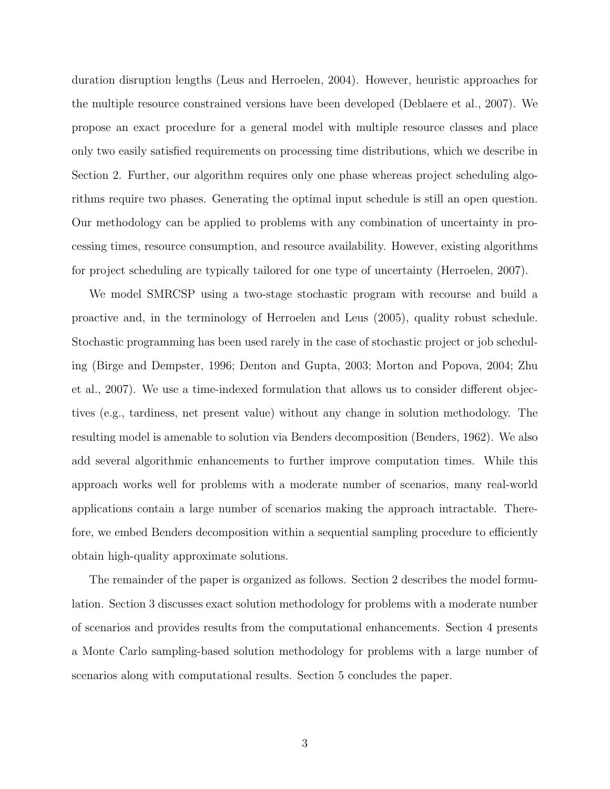duration disruption lengths (Leus and Herroelen, 2004). However, heuristic approaches for the multiple resource constrained versions have been developed (Deblaere et al., 2007). We propose an exact procedure for a general model with multiple resource classes and place only two easily satisfied requirements on processing time distributions, which we describe in Section 2. Further, our algorithm requires only one phase whereas project scheduling algorithms require two phases. Generating the optimal input schedule is still an open question. Our methodology can be applied to problems with any combination of uncertainty in processing times, resource consumption, and resource availability. However, existing algorithms for project scheduling are typically tailored for one type of uncertainty (Herroelen, 2007).

We model SMRCSP using a two-stage stochastic program with recourse and build a proactive and, in the terminology of Herroelen and Leus (2005), quality robust schedule. Stochastic programming has been used rarely in the case of stochastic project or job scheduling (Birge and Dempster, 1996; Denton and Gupta, 2003; Morton and Popova, 2004; Zhu et al., 2007). We use a time-indexed formulation that allows us to consider different objectives (e.g., tardiness, net present value) without any change in solution methodology. The resulting model is amenable to solution via Benders decomposition (Benders, 1962). We also add several algorithmic enhancements to further improve computation times. While this approach works well for problems with a moderate number of scenarios, many real-world applications contain a large number of scenarios making the approach intractable. Therefore, we embed Benders decomposition within a sequential sampling procedure to efficiently obtain high-quality approximate solutions.

The remainder of the paper is organized as follows. Section 2 describes the model formulation. Section 3 discusses exact solution methodology for problems with a moderate number of scenarios and provides results from the computational enhancements. Section 4 presents a Monte Carlo sampling-based solution methodology for problems with a large number of scenarios along with computational results. Section 5 concludes the paper.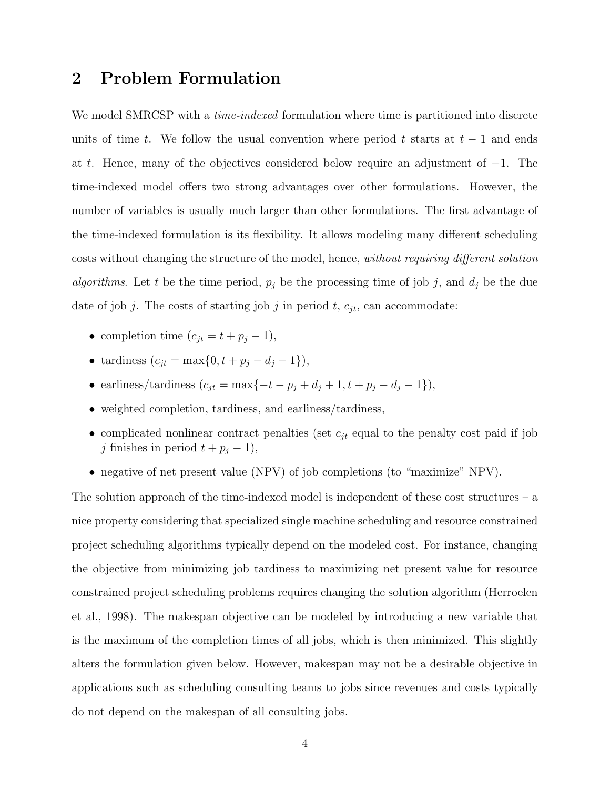### 2 Problem Formulation

We model SMRCSP with a *time-indexed* formulation where time is partitioned into discrete units of time t. We follow the usual convention where period t starts at  $t-1$  and ends at t. Hence, many of the objectives considered below require an adjustment of −1. The time-indexed model offers two strong advantages over other formulations. However, the number of variables is usually much larger than other formulations. The first advantage of the time-indexed formulation is its flexibility. It allows modeling many different scheduling costs without changing the structure of the model, hence, without requiring different solution *algorithms*. Let t be the time period,  $p_j$  be the processing time of job j, and  $d_j$  be the due date of job j. The costs of starting job j in period t,  $c_{jt}$ , can accommodate:

- completion time  $(c_{jt} = t + p_j 1),$
- tardiness  $(c_{jt} = \max\{0, t + p_j d_j 1\}),$
- earliness/tardiness  $(c_{jt} = \max\{-t p_j + d_j + 1, t + p_j d_j 1\}),$
- weighted completion, tardiness, and earliness/tardiness,
- complicated nonlinear contract penalties (set  $c_{jt}$  equal to the penalty cost paid if job j finishes in period  $t + p_j - 1$ ,
- negative of net present value (NPV) of job completions (to "maximize" NPV).

The solution approach of the time-indexed model is independent of these cost structures – a nice property considering that specialized single machine scheduling and resource constrained project scheduling algorithms typically depend on the modeled cost. For instance, changing the objective from minimizing job tardiness to maximizing net present value for resource constrained project scheduling problems requires changing the solution algorithm (Herroelen et al., 1998). The makespan objective can be modeled by introducing a new variable that is the maximum of the completion times of all jobs, which is then minimized. This slightly alters the formulation given below. However, makespan may not be a desirable objective in applications such as scheduling consulting teams to jobs since revenues and costs typically do not depend on the makespan of all consulting jobs.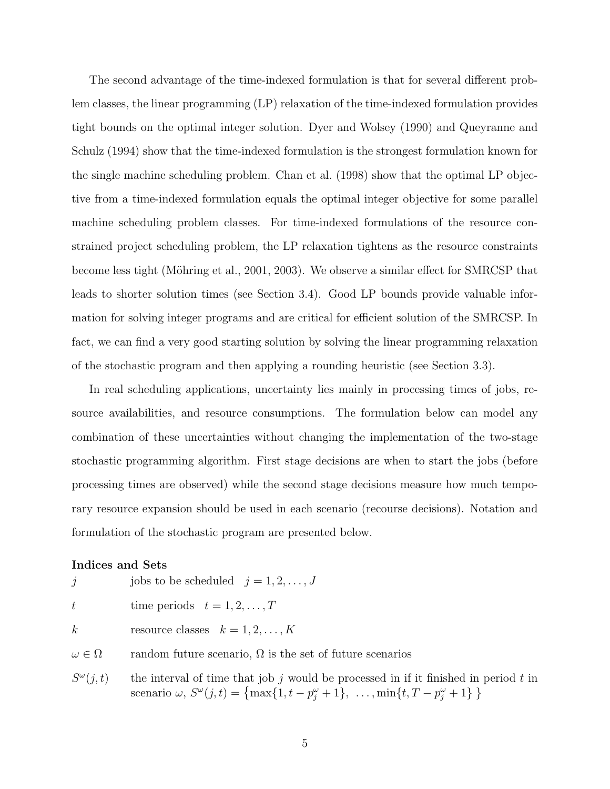The second advantage of the time-indexed formulation is that for several different problem classes, the linear programming (LP) relaxation of the time-indexed formulation provides tight bounds on the optimal integer solution. Dyer and Wolsey (1990) and Queyranne and Schulz (1994) show that the time-indexed formulation is the strongest formulation known for the single machine scheduling problem. Chan et al. (1998) show that the optimal LP objective from a time-indexed formulation equals the optimal integer objective for some parallel machine scheduling problem classes. For time-indexed formulations of the resource constrained project scheduling problem, the LP relaxation tightens as the resource constraints become less tight (Möhring et al., 2001, 2003). We observe a similar effect for SMRCSP that leads to shorter solution times (see Section 3.4). Good LP bounds provide valuable information for solving integer programs and are critical for efficient solution of the SMRCSP. In fact, we can find a very good starting solution by solving the linear programming relaxation of the stochastic program and then applying a rounding heuristic (see Section 3.3).

In real scheduling applications, uncertainty lies mainly in processing times of jobs, resource availabilities, and resource consumptions. The formulation below can model any combination of these uncertainties without changing the implementation of the two-stage stochastic programming algorithm. First stage decisions are when to start the jobs (before processing times are observed) while the second stage decisions measure how much temporary resource expansion should be used in each scenario (recourse decisions). Notation and formulation of the stochastic program are presented below.

#### Indices and Sets

| $\tilde{\mathcal{I}}$ | jobs to be scheduled $j = 1, 2, , J$                                                                                                                                                                     |
|-----------------------|----------------------------------------------------------------------------------------------------------------------------------------------------------------------------------------------------------|
| t.                    | time periods $t = 1, 2, , T$                                                                                                                                                                             |
| $k_{-}$               | resource classes $k = 1, 2, , K$                                                                                                                                                                         |
| $\omega \in \Omega$   | random future scenario, $\Omega$ is the set of future scenarios                                                                                                                                          |
| $S^{\omega}(j,t)$     | the interval of time that job $j$ would be processed in if it finished in period $t$ in<br>scenario $\omega$ , $S^{\omega}(j,t) = {\max{1, t - p^{\omega}_j + 1}}, \dots, \min{t, T - p^{\omega}_j + 1}$ |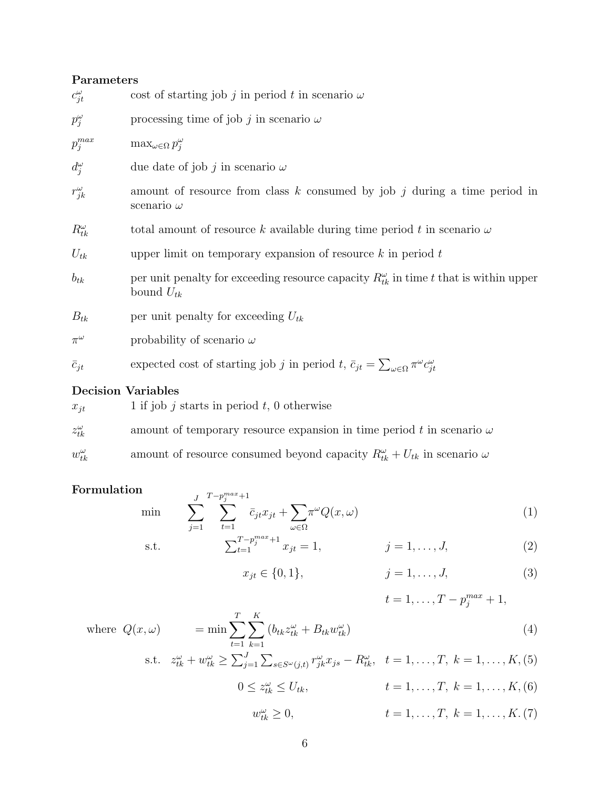### Parameters

| $c_{jt}^{\omega}$         | cost of starting job j in period t in scenario $\omega$                                                             |
|---------------------------|---------------------------------------------------------------------------------------------------------------------|
| $p_j^{\omega}$            | processing time of job j in scenario $\omega$                                                                       |
| $p_j^{max}$               | $\max_{\omega \in \Omega} p_i^{\omega}$                                                                             |
| $d_j^{\omega}$            | due date of job j in scenario $\omega$                                                                              |
| $r_{jk}^{\omega}$         | amount of resource from class $k$ consumed by job $j$ during a time period in<br>scenario $\omega$                  |
| $R_{tk}^{\omega}$         | total amount of resource k available during time period t in scenario $\omega$                                      |
| $U_{tk}$                  | upper limit on temporary expansion of resource $k$ in period $t$                                                    |
| $b_{tk}$                  | per unit penalty for exceeding resource capacity $R_{tk}^{\omega}$ in time t that is within upper<br>bound $U_{tk}$ |
| $B_{tk}$                  | per unit penalty for exceeding $U_{tk}$                                                                             |
| $\pi^\omega$              | probability of scenario $\omega$                                                                                    |
| $\bar{c}_{jt}$            | expected cost of starting job j in period t, $\bar{c}_{jt} = \sum_{\omega \in \Omega} \pi^{\omega} c_{jt}^{\omega}$ |
| <b>Decision Variables</b> |                                                                                                                     |

| $x_{it}$          | 1 if job j starts in period t, 0 otherwise                                                  |
|-------------------|---------------------------------------------------------------------------------------------|
| $z_{tk}^{\omega}$ | amount of temporary resource expansion in time period t in scenario $\omega$                |
| $w_{tk}^{\omega}$ | amount of resource consumed beyond capacity $R_{ik}^{\omega} + U_{tk}$ in scenario $\omega$ |

### Formulation

 $min$ 

$$
\sum_{j=1}^{J} \sum_{t=1}^{T-p_j^{max}+1} \bar{c}_{jt} x_{jt} + \sum_{\omega \in \Omega} \pi^{\omega} Q(x, \omega) \tag{1}
$$

s.t. 
$$
\sum_{t=1}^{T-p_j^{max}+1} x_{jt} = 1, \qquad j = 1, ..., J,
$$
 (2)

$$
x_{jt} \in \{0, 1\}, \qquad j = 1, \dots, J,\tag{3}
$$

$$
t = 1, ..., T - p_j^{max} + 1,
$$
  
where  $Q(x, \omega)$  = min  $\sum_{t=1}^{T} \sum_{k=1}^{K} (b_{tk} z_{tk}^{\omega} + B_{tk} w_{tk}^{\omega})$  (4)

s.t. 
$$
z_{tk}^{\omega} + w_{tk}^{\omega} \ge \sum_{j=1}^{J} \sum_{s \in S^{\omega}(j,t)} r_{jk}^{\omega} x_{js} - R_{tk}^{\omega}, \quad t = 1, ..., T, \quad k = 1, ..., K, (5)
$$

$$
0 \le z_{tk}^{\omega} \le U_{tk},
$$
  $t = 1, ..., T, k = 1, ..., K, (6)$ 

$$
w_{tk}^{\omega} \ge 0,
$$
  $t = 1,..., T, k = 1,..., K. (7)$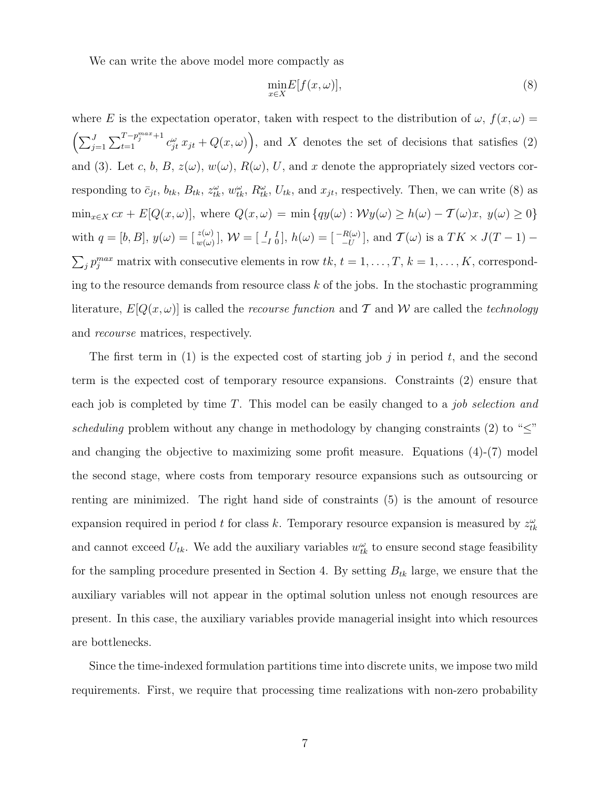We can write the above model more compactly as

$$
\min_{x \in X} E[f(x,\omega)],\tag{8}
$$

where E is the expectation operator, taken with respect to the distribution of  $\omega$ ,  $f(x, \omega) =$  $\left(\sum_{j=1}^J\sum_{t=1}^{T-p_j^{max}+1}c_{jt}^{\omega}x_{jt}+Q(x,\omega)\right)$ , and X denotes the set of decisions that satisfies (2) and (3). Let c, b, B,  $z(\omega)$ ,  $w(\omega)$ ,  $R(\omega)$ , U, and x denote the appropriately sized vectors corresponding to  $\bar{c}_{jt}$ ,  $b_{tk}$ ,  $B_{tk}$ ,  $z_{tk}^{\omega}$ ,  $w_{tk}^{\omega}$ ,  $R_{tk}^{\omega}$ ,  $U_{tk}$ , and  $x_{jt}$ , respectively. Then, we can write (8) as  $\min_{x \in X} cx + E[Q(x, \omega)],$  where  $Q(x, \omega) = \min \{ qy(\omega) : \mathcal{W}y(\omega) \ge h(\omega) - \mathcal{T}(\omega)x, y(\omega) \ge 0 \}$ with  $q = [b, B], y(\omega) = \begin{bmatrix} z(\omega) \\ w(\omega) \end{bmatrix}$ ,  $\mathcal{W} = \begin{bmatrix} I & I \\ -I & 0 \end{bmatrix}$ ,  $h(\omega) = \begin{bmatrix} -R(\omega) \\ -U \end{bmatrix}$ , and  $\mathcal{T}(\omega)$  is a  $TK \times J(T - 1)$  $\sum_j p_j^{max}$  matrix with consecutive elements in row tk,  $t = 1, \ldots, T$ ,  $k = 1, \ldots, K$ , corresponding to the resource demands from resource class  $k$  of the jobs. In the stochastic programming literature,  $E[Q(x,\omega)]$  is called the *recourse function* and T and W are called the *technology* and recourse matrices, respectively.

The first term in (1) is the expected cost of starting job  $j$  in period  $t$ , and the second term is the expected cost of temporary resource expansions. Constraints (2) ensure that each job is completed by time  $T$ . This model can be easily changed to a *job selection and* scheduling problem without any change in methodology by changing constraints (2) to " $\leq$ " and changing the objective to maximizing some profit measure. Equations (4)-(7) model the second stage, where costs from temporary resource expansions such as outsourcing or renting are minimized. The right hand side of constraints (5) is the amount of resource expansion required in period t for class k. Temporary resource expansion is measured by  $z_{tk}^{\omega}$ and cannot exceed  $U_{tk}$ . We add the auxiliary variables  $w_{tk}^{\omega}$  to ensure second stage feasibility for the sampling procedure presented in Section 4. By setting  $B_{tk}$  large, we ensure that the auxiliary variables will not appear in the optimal solution unless not enough resources are present. In this case, the auxiliary variables provide managerial insight into which resources are bottlenecks.

Since the time-indexed formulation partitions time into discrete units, we impose two mild requirements. First, we require that processing time realizations with non-zero probability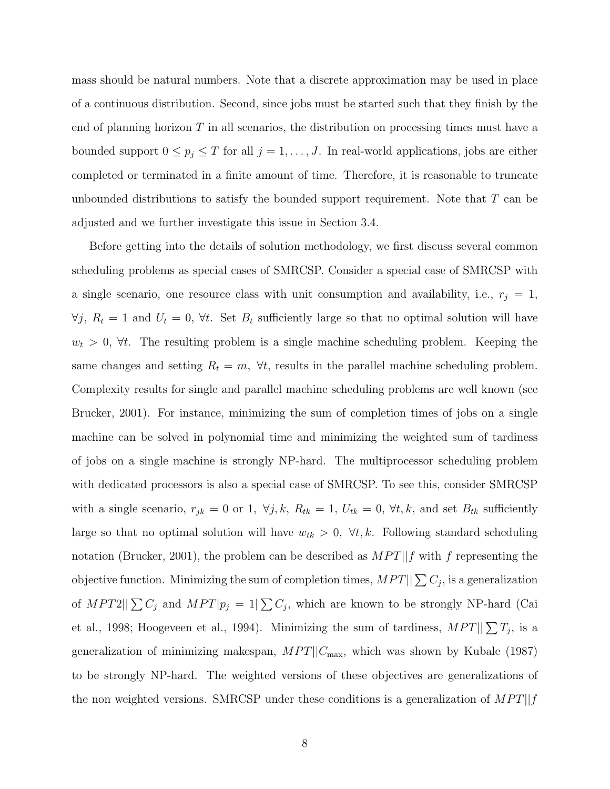mass should be natural numbers. Note that a discrete approximation may be used in place of a continuous distribution. Second, since jobs must be started such that they finish by the end of planning horizon  $T$  in all scenarios, the distribution on processing times must have a bounded support  $0 \le p_j \le T$  for all  $j = 1, \ldots, J$ . In real-world applications, jobs are either completed or terminated in a finite amount of time. Therefore, it is reasonable to truncate unbounded distributions to satisfy the bounded support requirement. Note that  $T$  can be adjusted and we further investigate this issue in Section 3.4.

Before getting into the details of solution methodology, we first discuss several common scheduling problems as special cases of SMRCSP. Consider a special case of SMRCSP with a single scenario, one resource class with unit consumption and availability, i.e.,  $r_j = 1$ ,  $\forall j, R_t = 1$  and  $U_t = 0, \forall t$ . Set  $B_t$  sufficiently large so that no optimal solution will have  $w_t > 0$ ,  $\forall t$ . The resulting problem is a single machine scheduling problem. Keeping the same changes and setting  $R_t = m$ ,  $\forall t$ , results in the parallel machine scheduling problem. Complexity results for single and parallel machine scheduling problems are well known (see Brucker, 2001). For instance, minimizing the sum of completion times of jobs on a single machine can be solved in polynomial time and minimizing the weighted sum of tardiness of jobs on a single machine is strongly NP-hard. The multiprocessor scheduling problem with dedicated processors is also a special case of SMRCSP. To see this, consider SMRCSP with a single scenario,  $r_{jk} = 0$  or 1,  $\forall j, k, R_{tk} = 1, U_{tk} = 0, \forall t, k$ , and set  $B_{tk}$  sufficiently large so that no optimal solution will have  $w_{tk} > 0$ ,  $\forall t, k$ . Following standard scheduling notation (Brucker, 2001), the problem can be described as  $MPT||f$  with f representing the objective function. Minimizing the sum of completion times,  $MPT||\sum C_j$ , is a generalization of  $MPT2||\sum C_j$  and  $MPT|p_j = 1|\sum C_j$ , which are known to be strongly NP-hard (Cai et al., 1998; Hoogeveen et al., 1994). Minimizing the sum of tardiness,  $MPT||\sum T_j$ , is a generalization of minimizing makespan,  $MPT||C_{\text{max}}$ , which was shown by Kubale (1987) to be strongly NP-hard. The weighted versions of these objectives are generalizations of the non weighted versions. SMRCSP under these conditions is a generalization of  $MPT||f$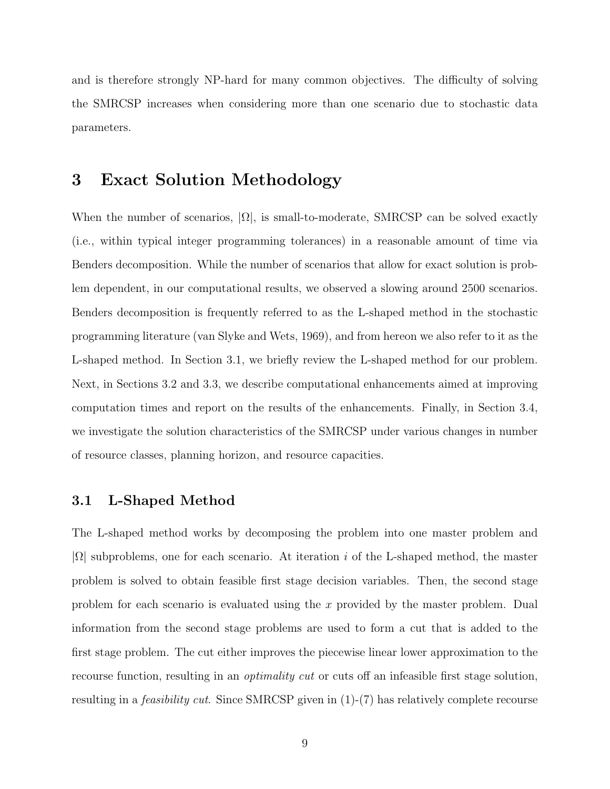and is therefore strongly NP-hard for many common objectives. The difficulty of solving the SMRCSP increases when considering more than one scenario due to stochastic data parameters.

# 3 Exact Solution Methodology

When the number of scenarios,  $|\Omega|$ , is small-to-moderate, SMRCSP can be solved exactly (i.e., within typical integer programming tolerances) in a reasonable amount of time via Benders decomposition. While the number of scenarios that allow for exact solution is problem dependent, in our computational results, we observed a slowing around 2500 scenarios. Benders decomposition is frequently referred to as the L-shaped method in the stochastic programming literature (van Slyke and Wets, 1969), and from hereon we also refer to it as the L-shaped method. In Section 3.1, we briefly review the L-shaped method for our problem. Next, in Sections 3.2 and 3.3, we describe computational enhancements aimed at improving computation times and report on the results of the enhancements. Finally, in Section 3.4, we investigate the solution characteristics of the SMRCSP under various changes in number of resource classes, planning horizon, and resource capacities.

### 3.1 L-Shaped Method

The L-shaped method works by decomposing the problem into one master problem and  $|\Omega|$  subproblems, one for each scenario. At iteration i of the L-shaped method, the master problem is solved to obtain feasible first stage decision variables. Then, the second stage problem for each scenario is evaluated using the x provided by the master problem. Dual information from the second stage problems are used to form a cut that is added to the first stage problem. The cut either improves the piecewise linear lower approximation to the recourse function, resulting in an *optimality cut* or cuts off an infeasible first stage solution, resulting in a feasibility cut. Since SMRCSP given in (1)-(7) has relatively complete recourse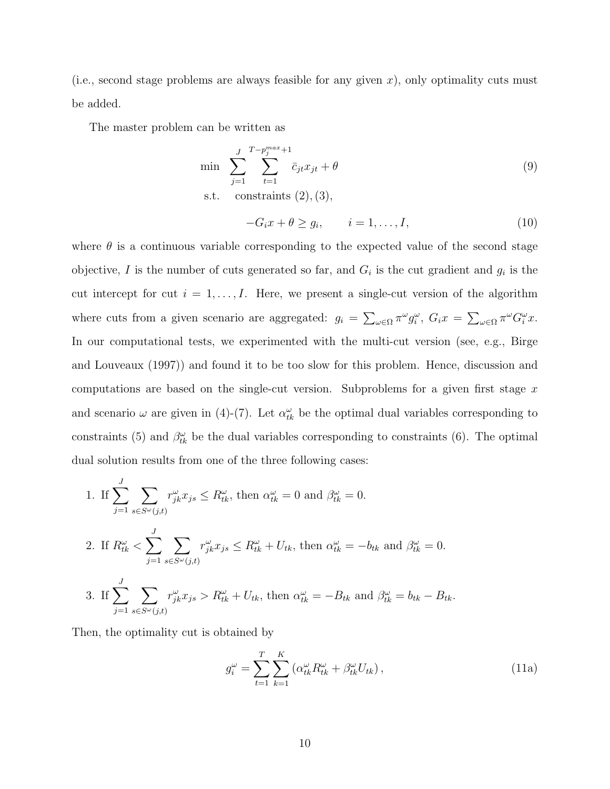(i.e., second stage problems are always feasible for any given  $x$ ), only optimality cuts must be added.

The master problem can be written as

$$
\min \sum_{j=1}^{J} \sum_{t=1}^{T-p_j^{max}+1} \bar{c}_{jt} x_{jt} + \theta
$$
\n
$$
\text{s.t.} \quad \text{constraints (2), (3),}
$$
\n
$$
(9)
$$

$$
-G_i x + \theta \ge g_i, \qquad i = 1, \dots, I,
$$
\n<sup>(10)</sup>

where  $\theta$  is a continuous variable corresponding to the expected value of the second stage objective, I is the number of cuts generated so far, and  $G_i$  is the cut gradient and  $g_i$  is the cut intercept for cut  $i = 1, \ldots, I$ . Here, we present a single-cut version of the algorithm where cuts from a given scenario are aggregated:  $g_i = \sum_{\omega \in \Omega} \pi^{\omega} g_i^{\omega}$ ,  $G_i x = \sum_{\omega \in \Omega} \pi^{\omega} G_i^{\omega} x$ . In our computational tests, we experimented with the multi-cut version (see, e.g., Birge and Louveaux (1997)) and found it to be too slow for this problem. Hence, discussion and computations are based on the single-cut version. Subproblems for a given first stage  $x$ and scenario  $\omega$  are given in (4)-(7). Let  $\alpha_{tk}^{\omega}$  be the optimal dual variables corresponding to constraints (5) and  $\beta_{tk}^{\omega}$  be the dual variables corresponding to constraints (6). The optimal dual solution results from one of the three following cases:

1. If 
$$
\sum_{j=1}^{J} \sum_{s \in S^{\omega}(j,t)} r_{jk}^{\omega} x_{js} \le R_{tk}^{\omega}, \text{ then } \alpha_{tk}^{\omega} = 0 \text{ and } \beta_{tk}^{\omega} = 0.
$$
  
2. If  $R_{tk}^{\omega} < \sum_{j=1}^{J} \sum_{s \in S^{\omega}(j,t)} r_{jk}^{\omega} x_{js} \le R_{tk}^{\omega} + U_{tk}, \text{ then } \alpha_{tk}^{\omega} = -b_{tk} \text{ and } \beta_{tk}^{\omega} = 0.$   
3. If 
$$
\sum_{j=1}^{J} \sum_{s \in S^{\omega}(j,t)} r_{jk}^{\omega} x_{js} > R_{tk}^{\omega} + U_{tk}, \text{ then } \alpha_{tk}^{\omega} = -B_{tk} \text{ and } \beta_{tk}^{\omega} = b_{tk} - B_{tk}.
$$

Then, the optimality cut is obtained by

$$
g_i^{\omega} = \sum_{t=1}^{T} \sum_{k=1}^{K} \left( \alpha_{tk}^{\omega} R_{tk}^{\omega} + \beta_{tk}^{\omega} U_{tk} \right), \qquad (11a)
$$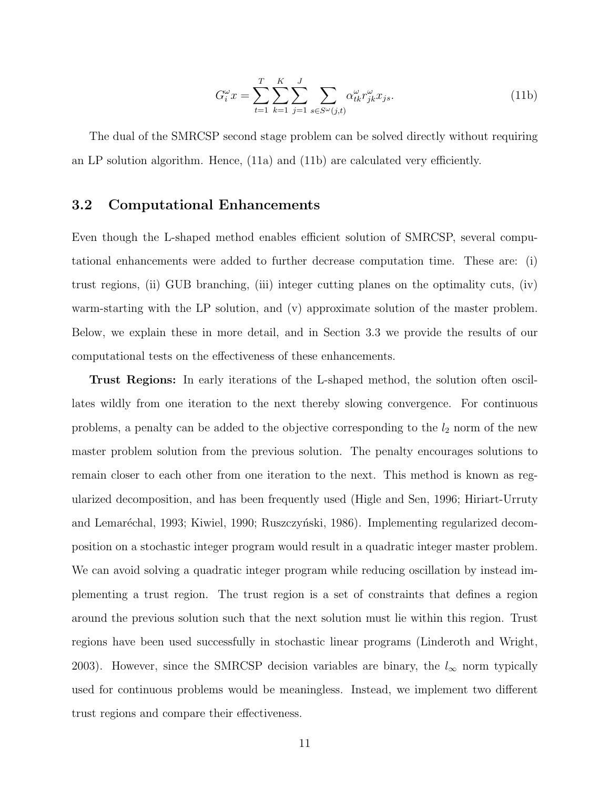$$
G_i^{\omega} x = \sum_{t=1}^T \sum_{k=1}^K \sum_{j=1}^J \sum_{s \in S^{\omega}(j,t)} \alpha_{tk}^{\omega} r_{jk}^{\omega} x_{js}.
$$
 (11b)

The dual of the SMRCSP second stage problem can be solved directly without requiring an LP solution algorithm. Hence, (11a) and (11b) are calculated very efficiently.

#### 3.2 Computational Enhancements

Even though the L-shaped method enables efficient solution of SMRCSP, several computational enhancements were added to further decrease computation time. These are: (i) trust regions, (ii) GUB branching, (iii) integer cutting planes on the optimality cuts, (iv) warm-starting with the LP solution, and (v) approximate solution of the master problem. Below, we explain these in more detail, and in Section 3.3 we provide the results of our computational tests on the effectiveness of these enhancements.

Trust Regions: In early iterations of the L-shaped method, the solution often oscillates wildly from one iteration to the next thereby slowing convergence. For continuous problems, a penalty can be added to the objective corresponding to the  $l_2$  norm of the new master problem solution from the previous solution. The penalty encourages solutions to remain closer to each other from one iteration to the next. This method is known as regularized decomposition, and has been frequently used (Higle and Sen, 1996; Hiriart-Urruty and Lemaréchal, 1993; Kiwiel, 1990; Ruszczyński, 1986). Implementing regularized decomposition on a stochastic integer program would result in a quadratic integer master problem. We can avoid solving a quadratic integer program while reducing oscillation by instead implementing a trust region. The trust region is a set of constraints that defines a region around the previous solution such that the next solution must lie within this region. Trust regions have been used successfully in stochastic linear programs (Linderoth and Wright, 2003). However, since the SMRCSP decision variables are binary, the  $l_{\infty}$  norm typically used for continuous problems would be meaningless. Instead, we implement two different trust regions and compare their effectiveness.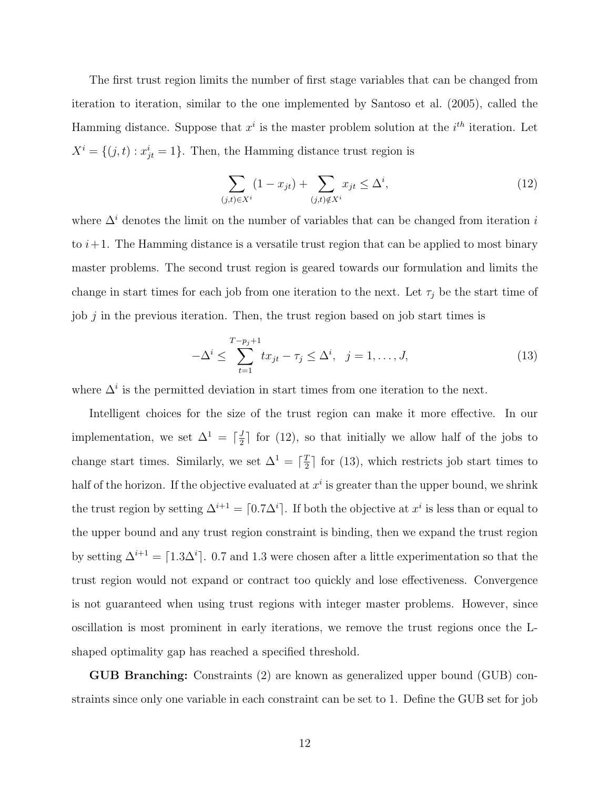The first trust region limits the number of first stage variables that can be changed from iteration to iteration, similar to the one implemented by Santoso et al. (2005), called the Hamming distance. Suppose that  $x^i$  is the master problem solution at the  $i^{th}$  iteration. Let  $X^i = \{(j, t) : x^i_{jt} = 1\}.$  Then, the Hamming distance trust region is

$$
\sum_{(j,t)\in X^i} (1 - x_{jt}) + \sum_{(j,t)\notin X^i} x_{jt} \le \Delta^i,
$$
\n(12)

where  $\Delta^{i}$  denotes the limit on the number of variables that can be changed from iteration i to  $i+1$ . The Hamming distance is a versatile trust region that can be applied to most binary master problems. The second trust region is geared towards our formulation and limits the change in start times for each job from one iteration to the next. Let  $\tau_j$  be the start time of job  $j$  in the previous iteration. Then, the trust region based on job start times is

$$
-\Delta^{i} \leq \sum_{t=1}^{T-p_{j}+1} tx_{jt} - \tau_{j} \leq \Delta^{i}, \ \ j = 1, ..., J,
$$
\n(13)

where  $\Delta^{i}$  is the permitted deviation in start times from one iteration to the next.

Intelligent choices for the size of the trust region can make it more effective. In our implementation, we set  $\Delta^1 = \lceil \frac{J}{2} \rceil$  $\frac{J}{2}$  for (12), so that initially we allow half of the jobs to change start times. Similarly, we set  $\Delta^1 = \lceil \frac{7}{2} \rceil$  $\frac{T}{2}$  for (13), which restricts job start times to half of the horizon. If the objective evaluated at  $x^i$  is greater than the upper bound, we shrink the trust region by setting  $\Delta^{i+1} = [0.7\Delta^i]$ . If both the objective at  $x^i$  is less than or equal to the upper bound and any trust region constraint is binding, then we expand the trust region by setting  $\Delta^{i+1} = [1.3\Delta^i]$ . 0.7 and 1.3 were chosen after a little experimentation so that the trust region would not expand or contract too quickly and lose effectiveness. Convergence is not guaranteed when using trust regions with integer master problems. However, since oscillation is most prominent in early iterations, we remove the trust regions once the Lshaped optimality gap has reached a specified threshold.

GUB Branching: Constraints (2) are known as generalized upper bound (GUB) constraints since only one variable in each constraint can be set to 1. Define the GUB set for job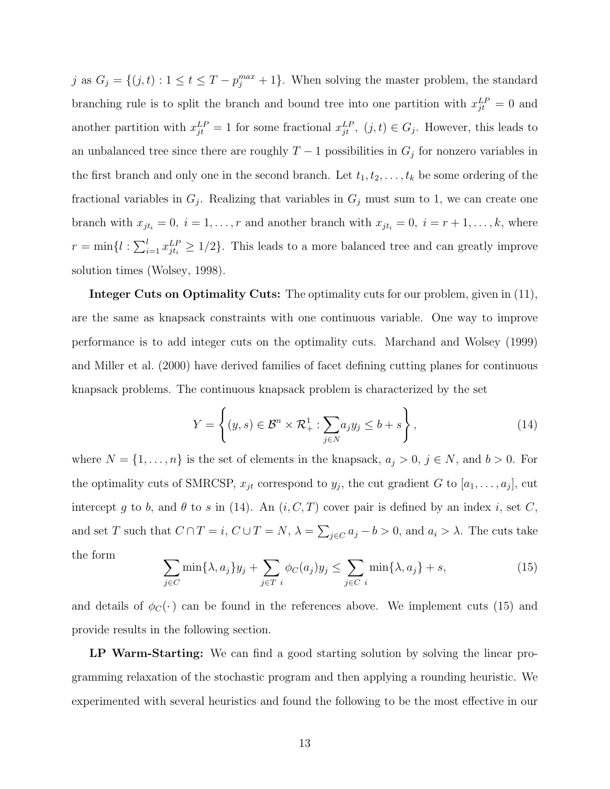j as  $G_j = \{(j, t) : 1 \le t \le T - p_j^{max} + 1\}$ . When solving the master problem, the standard branching rule is to split the branch and bound tree into one partition with  $x_{jt}^{LP} = 0$  and another partition with  $x_{jt}^{LP} = 1$  for some fractional  $x_{jt}^{LP}$ ,  $(j, t) \in G_j$ . However, this leads to an unbalanced tree since there are roughly  $T-1$  possibilities in  $G_j$  for nonzero variables in the first branch and only one in the second branch. Let  $t_1, t_2, \ldots, t_k$  be some ordering of the fractional variables in  $G_j$ . Realizing that variables in  $G_j$  must sum to 1, we can create one branch with  $x_{jt_i} = 0$ ,  $i = 1, \ldots, r$  and another branch with  $x_{jt_i} = 0$ ,  $i = r + 1, \ldots, k$ , where  $r = \min\{l : \sum_{i=1}^{l} x_{jt_i}^{LP} \ge 1/2\}$ . This leads to a more balanced tree and can greatly improve solution times (Wolsey, 1998).

Integer Cuts on Optimality Cuts: The optimality cuts for our problem, given in (11), are the same as knapsack constraints with one continuous variable. One way to improve performance is to add integer cuts on the optimality cuts. Marchand and Wolsey (1999) and Miller et al. (2000) have derived families of facet defining cutting planes for continuous knapsack problems. The continuous knapsack problem is characterized by the set

$$
Y = \left\{ (y, s) \in \mathcal{B}^n \times \mathcal{R}_+^1 : \sum_{j \in N} a_j y_j \le b + s \right\},\tag{14}
$$

where  $N = \{1, \ldots, n\}$  is the set of elements in the knapsack,  $a_j > 0$ ,  $j \in N$ , and  $b > 0$ . For the optimality cuts of SMRCSP,  $x_{jt}$  correspond to  $y_j$ , the cut gradient G to  $[a_1, \ldots, a_j]$ , cut intercept g to b, and  $\theta$  to s in (14). An  $(i, C, T)$  cover pair is defined by an index i, set C, and set T such that  $C \cap T = i$ ,  $C \cup T = N$ ,  $\lambda = \sum_{j \in C} a_j - b > 0$ , and  $a_i > \lambda$ . The cuts take the form

$$
\sum_{j \in C} \min\{\lambda, a_j\} y_j + \sum_{j \in T} \phi_C(a_j) y_j \le \sum_{j \in C} \min\{\lambda, a_j\} + s,\tag{15}
$$

and details of  $\phi_C(\cdot)$  can be found in the references above. We implement cuts (15) and provide results in the following section.

LP Warm-Starting: We can find a good starting solution by solving the linear programming relaxation of the stochastic program and then applying a rounding heuristic. We experimented with several heuristics and found the following to be the most effective in our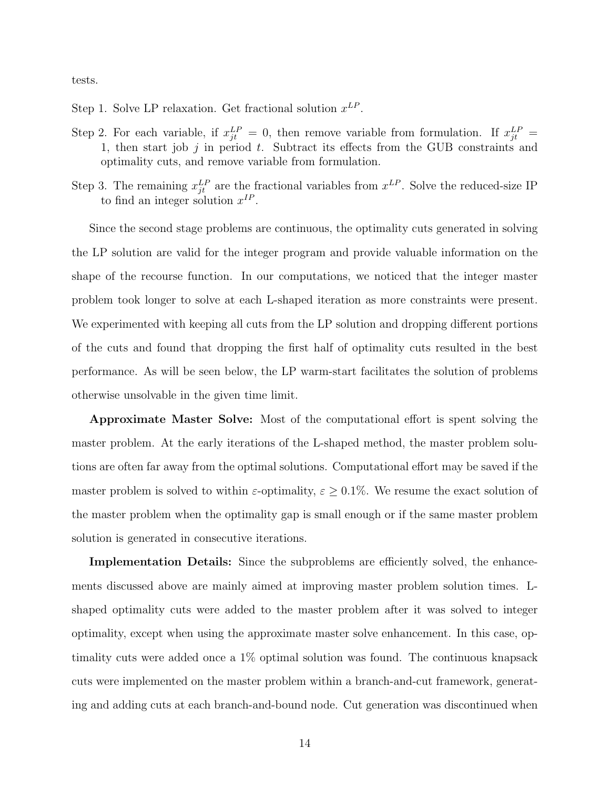tests.

Step 1. Solve LP relaxation. Get fractional solution  $x^{LP}$ .

- Step 2. For each variable, if  $x_{jt}^{LP} = 0$ , then remove variable from formulation. If  $x_{jt}^{LP} = 0$ 1, then start job  $j$  in period  $t$ . Subtract its effects from the GUB constraints and optimality cuts, and remove variable from formulation.
- Step 3. The remaining  $x_{jt}^{LP}$  are the fractional variables from  $x^{LP}$ . Solve the reduced-size IP to find an integer solution  $x^{IP}$ .

Since the second stage problems are continuous, the optimality cuts generated in solving the LP solution are valid for the integer program and provide valuable information on the shape of the recourse function. In our computations, we noticed that the integer master problem took longer to solve at each L-shaped iteration as more constraints were present. We experimented with keeping all cuts from the LP solution and dropping different portions of the cuts and found that dropping the first half of optimality cuts resulted in the best performance. As will be seen below, the LP warm-start facilitates the solution of problems otherwise unsolvable in the given time limit.

Approximate Master Solve: Most of the computational effort is spent solving the master problem. At the early iterations of the L-shaped method, the master problem solutions are often far away from the optimal solutions. Computational effort may be saved if the master problem is solved to within  $\varepsilon$ -optimality,  $\varepsilon \geq 0.1\%$ . We resume the exact solution of the master problem when the optimality gap is small enough or if the same master problem solution is generated in consecutive iterations.

**Implementation Details:** Since the subproblems are efficiently solved, the enhancements discussed above are mainly aimed at improving master problem solution times. Lshaped optimality cuts were added to the master problem after it was solved to integer optimality, except when using the approximate master solve enhancement. In this case, optimality cuts were added once a 1% optimal solution was found. The continuous knapsack cuts were implemented on the master problem within a branch-and-cut framework, generating and adding cuts at each branch-and-bound node. Cut generation was discontinued when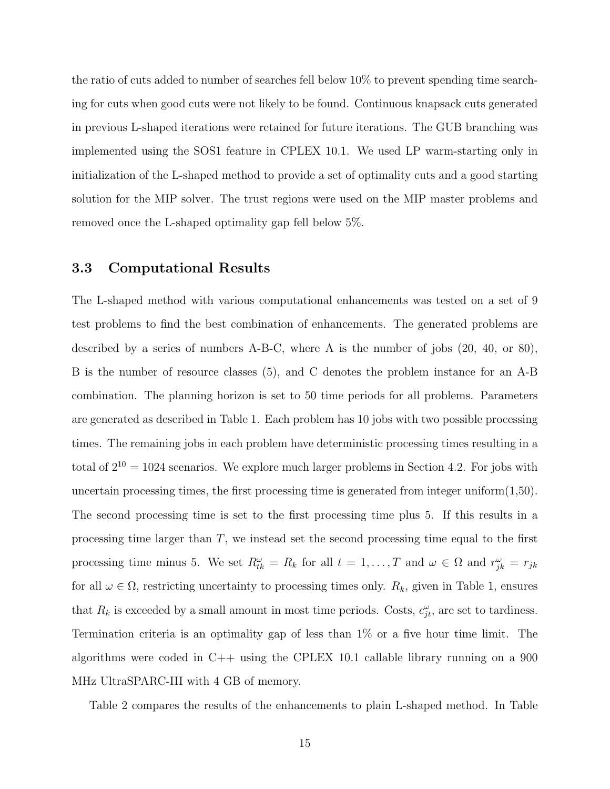the ratio of cuts added to number of searches fell below 10% to prevent spending time searching for cuts when good cuts were not likely to be found. Continuous knapsack cuts generated in previous L-shaped iterations were retained for future iterations. The GUB branching was implemented using the SOS1 feature in CPLEX 10.1. We used LP warm-starting only in initialization of the L-shaped method to provide a set of optimality cuts and a good starting solution for the MIP solver. The trust regions were used on the MIP master problems and removed once the L-shaped optimality gap fell below 5%.

#### 3.3 Computational Results

The L-shaped method with various computational enhancements was tested on a set of 9 test problems to find the best combination of enhancements. The generated problems are described by a series of numbers A-B-C, where A is the number of jobs (20, 40, or 80), B is the number of resource classes (5), and C denotes the problem instance for an A-B combination. The planning horizon is set to 50 time periods for all problems. Parameters are generated as described in Table 1. Each problem has 10 jobs with two possible processing times. The remaining jobs in each problem have deterministic processing times resulting in a total of  $2^{10} = 1024$  scenarios. We explore much larger problems in Section 4.2. For jobs with uncertain processing times, the first processing time is generated from integer uniform $(1,50)$ . The second processing time is set to the first processing time plus 5. If this results in a processing time larger than  $T$ , we instead set the second processing time equal to the first processing time minus 5. We set  $R_{tk}^{\omega} = R_k$  for all  $t = 1, ..., T$  and  $\omega \in \Omega$  and  $r_{jk}^{\omega} = r_{jk}$ for all  $\omega \in \Omega$ , restricting uncertainty to processing times only.  $R_k$ , given in Table 1, ensures that  $R_k$  is exceeded by a small amount in most time periods. Costs,  $c_{jt}^{\omega}$ , are set to tardiness. Termination criteria is an optimality gap of less than 1% or a five hour time limit. The algorithms were coded in  $C++$  using the CPLEX 10.1 callable library running on a 900 MHz UltraSPARC-III with 4 GB of memory.

Table 2 compares the results of the enhancements to plain L-shaped method. In Table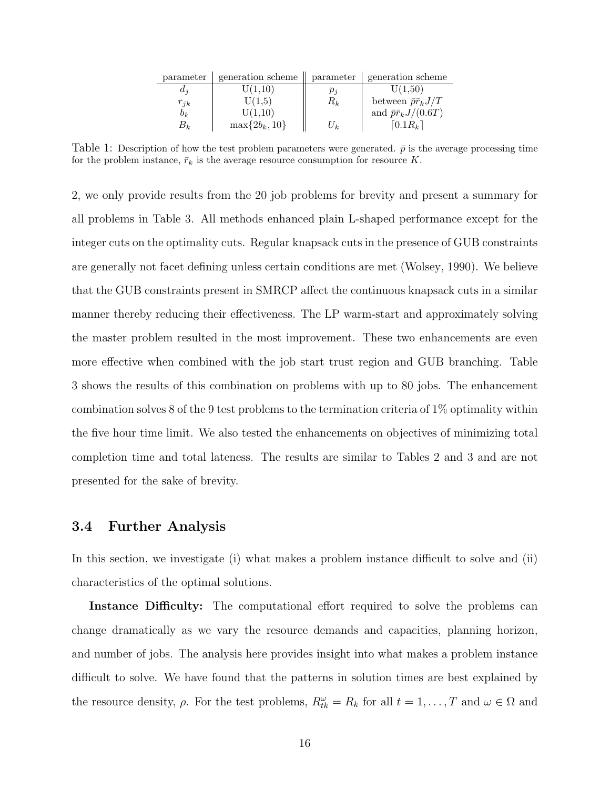| parameter | generation scheme  | parameter | generation scheme               |
|-----------|--------------------|-----------|---------------------------------|
| $a_i$     | U(1,10)            | $p_j$     | U(1,50)                         |
| $r_{jk}$  | U(1,5)             | $R_k$     | between $\bar{p}\bar{r}_k J/T$  |
| $b_k$     | U(1,10)            |           | and $\bar{p}\bar{r}_k J/(0.6T)$ |
| $B_k\,$   | $\max\{2b_k, 10\}$ | $U_k$     | $\lceil 0.1 R_k \rceil$         |

Table 1: Description of how the test problem parameters were generated.  $\bar{p}$  is the average processing time for the problem instance,  $\bar{r}_k$  is the average resource consumption for resource K.

2, we only provide results from the 20 job problems for brevity and present a summary for all problems in Table 3. All methods enhanced plain L-shaped performance except for the integer cuts on the optimality cuts. Regular knapsack cuts in the presence of GUB constraints are generally not facet defining unless certain conditions are met (Wolsey, 1990). We believe that the GUB constraints present in SMRCP affect the continuous knapsack cuts in a similar manner thereby reducing their effectiveness. The LP warm-start and approximately solving the master problem resulted in the most improvement. These two enhancements are even more effective when combined with the job start trust region and GUB branching. Table 3 shows the results of this combination on problems with up to 80 jobs. The enhancement combination solves 8 of the 9 test problems to the termination criteria of 1% optimality within the five hour time limit. We also tested the enhancements on objectives of minimizing total completion time and total lateness. The results are similar to Tables 2 and 3 and are not presented for the sake of brevity.

#### 3.4 Further Analysis

In this section, we investigate (i) what makes a problem instance difficult to solve and (ii) characteristics of the optimal solutions.

**Instance Difficulty:** The computational effort required to solve the problems can change dramatically as we vary the resource demands and capacities, planning horizon, and number of jobs. The analysis here provides insight into what makes a problem instance difficult to solve. We have found that the patterns in solution times are best explained by the resource density,  $\rho$ . For the test problems,  $R_{tk}^{\omega} = R_k$  for all  $t = 1, ..., T$  and  $\omega \in \Omega$  and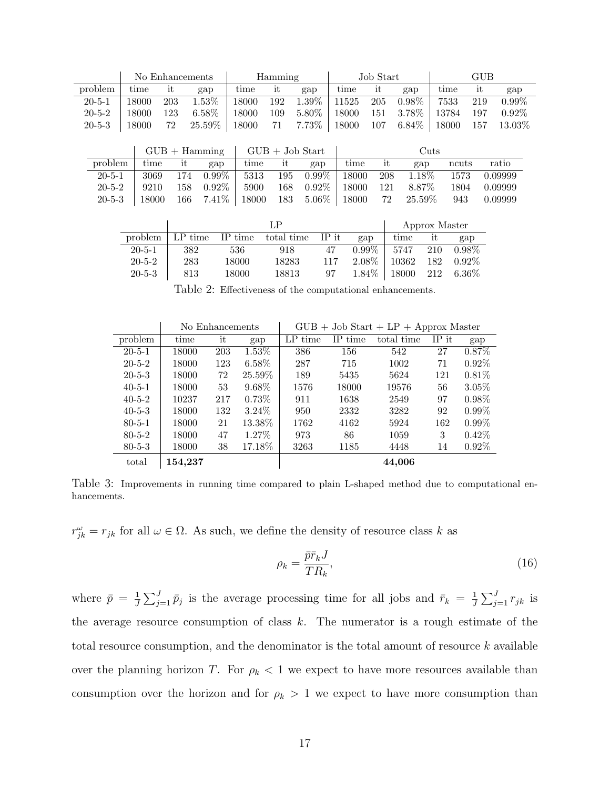|              |       |     | No Enhancements | Hamming |      | Job Start |       |     | GUB      |       |     |          |
|--------------|-------|-----|-----------------|---------|------|-----------|-------|-----|----------|-------|-----|----------|
| problem      | time  | 1t  | gap             | time    |      | gap       | time  | -1t | gap      | time  | ıt  | gap      |
| $20 - 5 - 1$ | 18000 | 203 | $1.53\%$        | 18000   | 192  | $1.39\%$  | 11525 | 205 | $0.98\%$ | 7533  | 219 | $0.99\%$ |
| $20 - 5 - 2$ | 18000 | 123 | $6.58\%$        | 18000   | 109  | $5.80\%$  | 18000 | 151 | $3.78\%$ | 13784 | 197 | $0.92\%$ |
| $20 - 5 - 3$ | 18000 | 72  | $25.59\%$       | 18000   | - 71 | $7.73\%$  | 18000 | 107 | $6.84\%$ | 18000 | 157 | 13.03%   |

|              |       |    | $GUB + Hamming$      | $\Box$ GUB + Job Start |     |      |    | Cuts                                    |       |         |
|--------------|-------|----|----------------------|------------------------|-----|------|----|-----------------------------------------|-------|---------|
| problem      | time  | it | gap                  | time it                | gap | time | it | gap                                     | ncuts | ratio   |
| $20 - 5 - 1$ | 3069  |    | $174$ 0.99% 5313     |                        |     |      |    | $195$ 0.99% $18000$ 208 1.18%           | 1573  | 0.09999 |
| $20 - 5 - 2$ | 9210  |    | $158$ 0.92\% 5900    |                        |     |      |    | $168$ 0.92\%   18000 121 8.87\%         | 1804  | 0.09999 |
| $20 - 5 - 3$ | 18000 |    | $166$ 7.41\%   18000 |                        |     |      |    | $183$ $5.06\%$   $18000$ $72$ $25.59\%$ | 943   | 0.09999 |

|              |         |         |            | Approx Master |          |       |     |          |
|--------------|---------|---------|------------|---------------|----------|-------|-----|----------|
| problem      | LP time | IP time | total time | IP it         | gap      | time  |     | gap      |
| $20 - 5 - 1$ | 382     | 536     | 918        | 47            | $0.99\%$ | 5747  | 210 | $0.98\%$ |
| $20 - 5 - 2$ | 283     | 18000   | 18283      | 117           | $2.08\%$ | 10362 | 182 | $0.92\%$ |
| $20 - 5 - 3$ | 813     | 18000   | 18813      | 97            | 1.84\%   | 18000 | 212 | $6.36\%$ |

Table 2: Effectiveness of the computational enhancements.

|              | No Enhancements |     |          | $GUB + Job Start + LP + Approx Master$ |         |            |         |          |  |
|--------------|-----------------|-----|----------|----------------------------------------|---------|------------|---------|----------|--|
| problem      | time            | it  | gap      | LP time                                | IP time | total time | $IP$ it | gap      |  |
| $20 - 5 - 1$ | 18000           | 203 | $1.53\%$ | 386                                    | 156     | 542        | 27      | $0.87\%$ |  |
| $20 - 5 - 2$ | 18000           | 123 | $6.58\%$ | 287                                    | 715     | 1002       | 71      | $0.92\%$ |  |
| $20 - 5 - 3$ | 18000           | 72  | 25.59%   | 189                                    | 5435    | 5624       | 121     | $0.81\%$ |  |
| $40 - 5 - 1$ | 18000           | 53  | $9.68\%$ | 1576                                   | 18000   | 19576      | 56      | $3.05\%$ |  |
| $40 - 5 - 2$ | 10237           | 217 | $0.73\%$ | 911                                    | 1638    | 2549       | 97      | $0.98\%$ |  |
| $40 - 5 - 3$ | 18000           | 132 | $3.24\%$ | 950                                    | 2332    | 3282       | 92      | $0.99\%$ |  |
| $80 - 5 - 1$ | 18000           | 21  | 13.38%   | 1762                                   | 4162    | 5924       | 162     | $0.99\%$ |  |
| $80 - 5 - 2$ | 18000           | 47  | $1.27\%$ | 973                                    | 86      | 1059       | 3       | $0.42\%$ |  |
| $80 - 5 - 3$ | 18000           | 38  | 17.18%   | 3263                                   | 1185    | 4448       | 14      | $0.92\%$ |  |
| total        | 154,237         |     |          |                                        |         | 44,006     |         |          |  |

Table 3: Improvements in running time compared to plain L-shaped method due to computational enhancements.

 $r_{jk}^{\omega} = r_{jk}$  for all  $\omega \in \Omega$ . As such, we define the density of resource class k as

$$
\rho_k = \frac{\bar{p}\bar{r}_k J}{TR_k},\tag{16}
$$

where  $\bar{p} = \frac{1}{l}$  $\frac{1}{J}\sum_{j=1}^{J}\bar{p}_j$  is the average processing time for all jobs and  $\bar{r}_k = \frac{1}{J}$  $\frac{1}{J}\sum_{j=1}^{J}r_{jk}$  is the average resource consumption of class  $k$ . The numerator is a rough estimate of the total resource consumption, and the denominator is the total amount of resource  $k$  available over the planning horizon T. For  $\rho_k < 1$  we expect to have more resources available than consumption over the horizon and for  $\rho_k > 1$  we expect to have more consumption than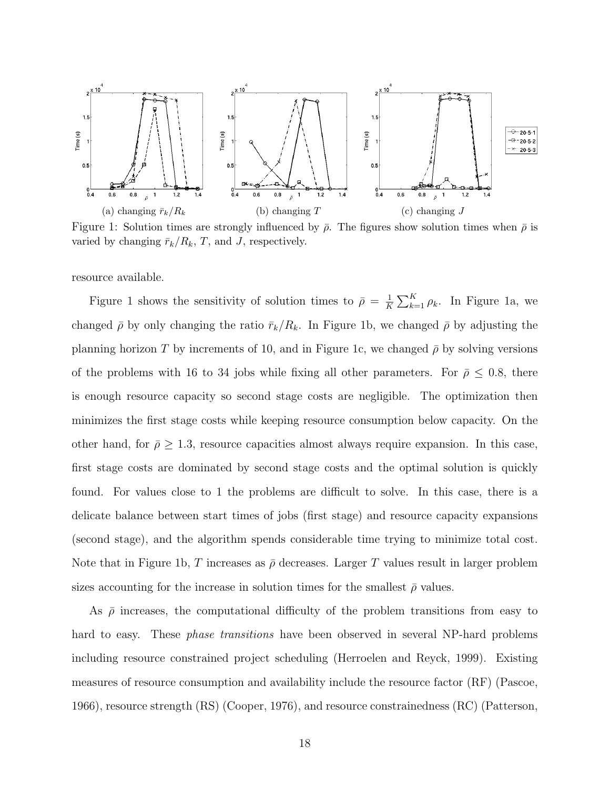

Figure 1: Solution times are strongly influenced by  $\bar{\rho}$ . The figures show solution times when  $\bar{\rho}$  is varied by changing  $\bar{r}_k/R_k$ , T, and J, respectively.

resource available.

Figure 1 shows the sensitivity of solution times to  $\bar{\rho} = \frac{1}{K}$  $\frac{1}{K} \sum_{k=1}^{K} \rho_k$ . In Figure 1a, we changed  $\bar{\rho}$  by only changing the ratio  $\bar{r}_k/R_k$ . In Figure 1b, we changed  $\bar{\rho}$  by adjusting the planning horizon T by increments of 10, and in Figure 1c, we changed  $\bar{\rho}$  by solving versions of the problems with 16 to 34 jobs while fixing all other parameters. For  $\bar{\rho} \leq 0.8$ , there is enough resource capacity so second stage costs are negligible. The optimization then minimizes the first stage costs while keeping resource consumption below capacity. On the other hand, for  $\bar{\rho} \geq 1.3$ , resource capacities almost always require expansion. In this case, first stage costs are dominated by second stage costs and the optimal solution is quickly found. For values close to 1 the problems are difficult to solve. In this case, there is a delicate balance between start times of jobs (first stage) and resource capacity expansions (second stage), and the algorithm spends considerable time trying to minimize total cost. Note that in Figure 1b, T increases as  $\bar{\rho}$  decreases. Larger T values result in larger problem sizes accounting for the increase in solution times for the smallest  $\bar{\rho}$  values.

As  $\bar{\rho}$  increases, the computational difficulty of the problem transitions from easy to hard to easy. These *phase transitions* have been observed in several NP-hard problems including resource constrained project scheduling (Herroelen and Reyck, 1999). Existing measures of resource consumption and availability include the resource factor (RF) (Pascoe, 1966), resource strength (RS) (Cooper, 1976), and resource constrainedness (RC) (Patterson,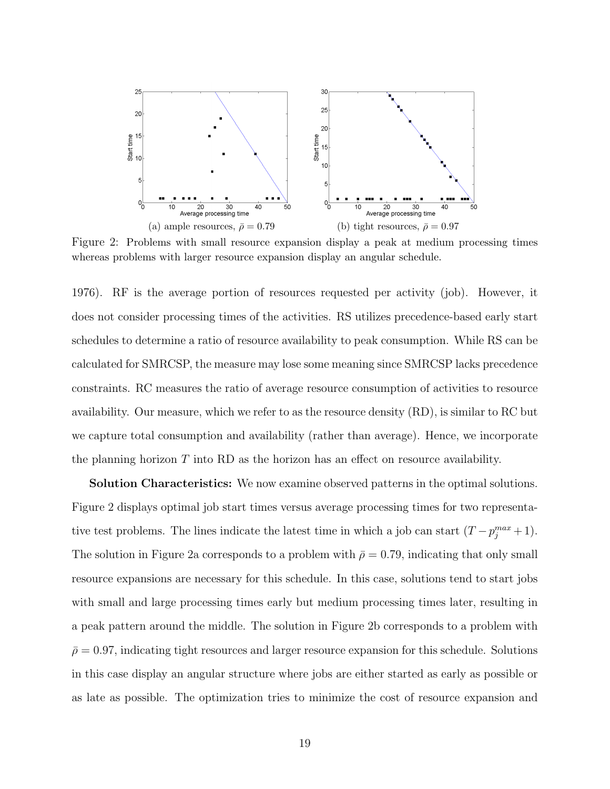

Figure 2: Problems with small resource expansion display a peak at medium processing times whereas problems with larger resource expansion display an angular schedule.

1976). RF is the average portion of resources requested per activity (job). However, it does not consider processing times of the activities. RS utilizes precedence-based early start schedules to determine a ratio of resource availability to peak consumption. While RS can be calculated for SMRCSP, the measure may lose some meaning since SMRCSP lacks precedence constraints. RC measures the ratio of average resource consumption of activities to resource availability. Our measure, which we refer to as the resource density (RD), is similar to RC but we capture total consumption and availability (rather than average). Hence, we incorporate the planning horizon  $T$  into RD as the horizon has an effect on resource availability.

Solution Characteristics: We now examine observed patterns in the optimal solutions. Figure 2 displays optimal job start times versus average processing times for two representative test problems. The lines indicate the latest time in which a job can start  $(T - p_j^{max} + 1)$ . The solution in Figure 2a corresponds to a problem with  $\bar{\rho} = 0.79$ , indicating that only small resource expansions are necessary for this schedule. In this case, solutions tend to start jobs with small and large processing times early but medium processing times later, resulting in a peak pattern around the middle. The solution in Figure 2b corresponds to a problem with  $\bar{\rho} = 0.97$ , indicating tight resources and larger resource expansion for this schedule. Solutions in this case display an angular structure where jobs are either started as early as possible or as late as possible. The optimization tries to minimize the cost of resource expansion and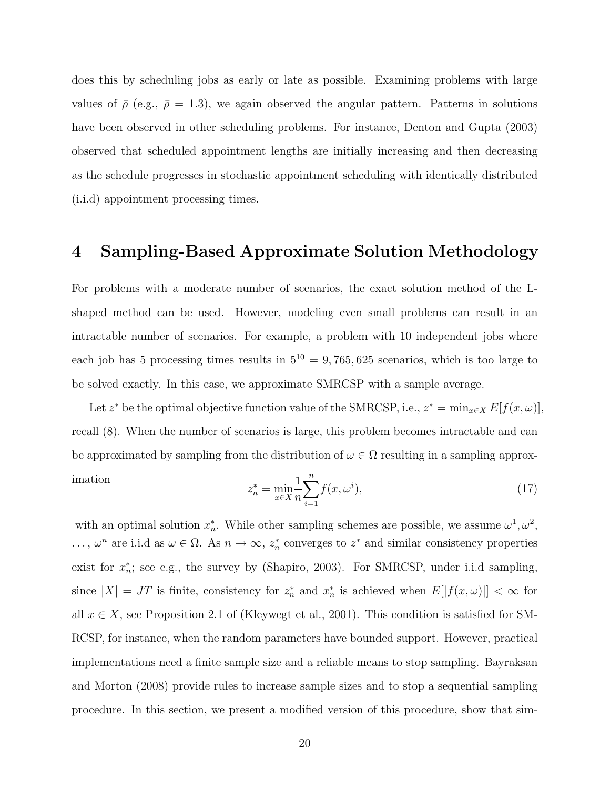does this by scheduling jobs as early or late as possible. Examining problems with large values of  $\bar{\rho}$  (e.g.,  $\bar{\rho} = 1.3$ ), we again observed the angular pattern. Patterns in solutions have been observed in other scheduling problems. For instance, Denton and Gupta (2003) observed that scheduled appointment lengths are initially increasing and then decreasing as the schedule progresses in stochastic appointment scheduling with identically distributed (i.i.d) appointment processing times.

### 4 Sampling-Based Approximate Solution Methodology

For problems with a moderate number of scenarios, the exact solution method of the Lshaped method can be used. However, modeling even small problems can result in an intractable number of scenarios. For example, a problem with 10 independent jobs where each job has 5 processing times results in  $5^{10} = 9,765,625$  scenarios, which is too large to be solved exactly. In this case, we approximate SMRCSP with a sample average.

Let z<sup>\*</sup> be the optimal objective function value of the SMRCSP, i.e.,  $z^* = \min_{x \in X} E[f(x, \omega)],$ recall (8). When the number of scenarios is large, this problem becomes intractable and can be approximated by sampling from the distribution of  $\omega \in \Omega$  resulting in a sampling approximation 1  $\sum_{n=1}^{\infty}$ 

$$
z_n^* = \min_{x \in X} \frac{1}{n} \sum_{i=1}^n f(x, \omega^i),\tag{17}
$$

with an optimal solution  $x_n^*$ . While other sampling schemes are possible, we assume  $\omega^1, \omega^2$ , ...,  $\omega^n$  are i.i.d as  $\omega \in \Omega$ . As  $n \to \infty$ ,  $z_n^*$  converges to  $z^*$  and similar consistency properties exist for  $x_n^*$ ; see e.g., the survey by (Shapiro, 2003). For SMRCSP, under i.i.d sampling, since  $|X| = JT$  is finite, consistency for  $z_n^*$  and  $x_n^*$  is achieved when  $E[|f(x, \omega)|] < \infty$  for all  $x \in X$ , see Proposition 2.1 of (Kleywegt et al., 2001). This condition is satisfied for SM-RCSP, for instance, when the random parameters have bounded support. However, practical implementations need a finite sample size and a reliable means to stop sampling. Bayraksan and Morton (2008) provide rules to increase sample sizes and to stop a sequential sampling procedure. In this section, we present a modified version of this procedure, show that sim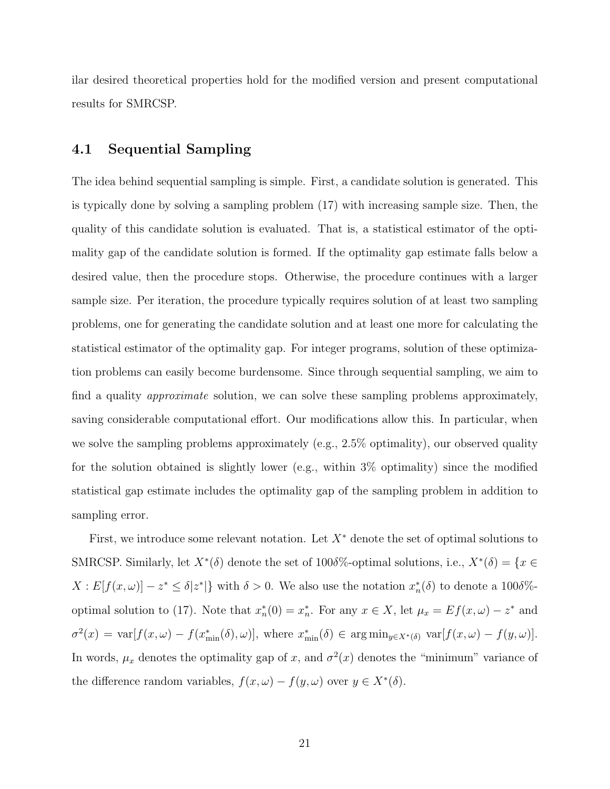ilar desired theoretical properties hold for the modified version and present computational results for SMRCSP.

#### 4.1 Sequential Sampling

The idea behind sequential sampling is simple. First, a candidate solution is generated. This is typically done by solving a sampling problem (17) with increasing sample size. Then, the quality of this candidate solution is evaluated. That is, a statistical estimator of the optimality gap of the candidate solution is formed. If the optimality gap estimate falls below a desired value, then the procedure stops. Otherwise, the procedure continues with a larger sample size. Per iteration, the procedure typically requires solution of at least two sampling problems, one for generating the candidate solution and at least one more for calculating the statistical estimator of the optimality gap. For integer programs, solution of these optimization problems can easily become burdensome. Since through sequential sampling, we aim to find a quality approximate solution, we can solve these sampling problems approximately, saving considerable computational effort. Our modifications allow this. In particular, when we solve the sampling problems approximately (e.g., 2.5% optimality), our observed quality for the solution obtained is slightly lower (e.g., within 3% optimality) since the modified statistical gap estimate includes the optimality gap of the sampling problem in addition to sampling error.

First, we introduce some relevant notation. Let  $X^*$  denote the set of optimal solutions to SMRCSP. Similarly, let  $X^*(\delta)$  denote the set of 1008%-optimal solutions, i.e.,  $X^*(\delta) = \{x \in$  $X: E[f(x, \omega)] - z^* \leq \delta |z^*|$  with  $\delta > 0$ . We also use the notation  $x_n^*(\delta)$  to denote a 100 $\delta$ % optimal solution to (17). Note that  $x_n^*(0) = x_n^*$ . For any  $x \in X$ , let  $\mu_x = Ef(x, \omega) - z^*$  and  $\sigma^{2}(x) = \text{var}[f(x,\omega) - f(x_{\min}^{*}(\delta),\omega)],$  where  $x_{\min}^{*}(\delta) \in \arg \min_{y \in X^{*}(\delta)} \text{var}[f(x,\omega) - f(y,\omega)].$ In words,  $\mu_x$  denotes the optimality gap of x, and  $\sigma^2(x)$  denotes the "minimum" variance of the difference random variables,  $f(x, \omega) - f(y, \omega)$  over  $y \in X^*(\delta)$ .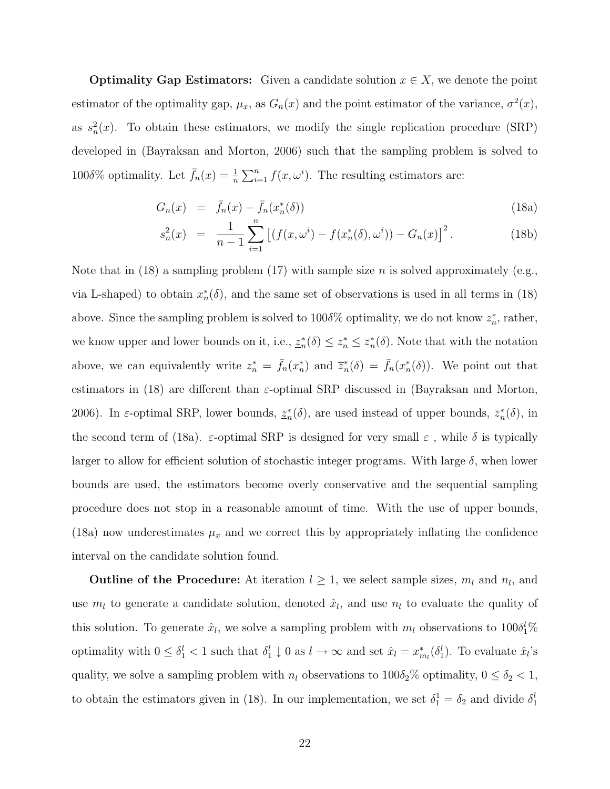**Optimality Gap Estimators:** Given a candidate solution  $x \in X$ , we denote the point estimator of the optimality gap,  $\mu_x$ , as  $G_n(x)$  and the point estimator of the variance,  $\sigma^2(x)$ , as  $s_n^2(x)$ . To obtain these estimators, we modify the single replication procedure (SRP) developed in (Bayraksan and Morton, 2006) such that the sampling problem is solved to 100 $\delta\%$  optimality. Let  $\bar{f}_n(x) = \frac{1}{n} \sum_{i=1}^n f(x, \omega^i)$ . The resulting estimators are:

$$
G_n(x) = \bar{f}_n(x) - \bar{f}_n(x_n^*(\delta))
$$
\n(18a)

$$
s_n^2(x) = \frac{1}{n-1} \sum_{i=1}^n \left[ (f(x, \omega^i) - f(x_n^*(\delta), \omega^i)) - G_n(x) \right]^2.
$$
 (18b)

Note that in (18) a sampling problem (17) with sample size n is solved approximately (e.g., via L-shaped) to obtain  $x_n^*(\delta)$ , and the same set of observations is used in all terms in (18) above. Since the sampling problem is solved to 1008% optimality, we do not know  $z_n^*$ , rather, we know upper and lower bounds on it, i.e.,  $\underline{z}_n^*(\delta) \leq z_n^* \leq \overline{z}_n^*(\delta)$ . Note that with the notation above, we can equivalently write  $z_n^* = \bar{f}_n(x_n^*)$  and  $\bar{z}_n^*(\delta) = \bar{f}_n(x_n^*(\delta))$ . We point out that estimators in (18) are different than  $\varepsilon$ -optimal SRP discussed in (Bayraksan and Morton, 2006). In  $\varepsilon$ -optimal SRP, lower bounds,  $\underline{z}_n^*(\delta)$ , are used instead of upper bounds,  $\overline{z}_n^*(\delta)$ , in the second term of (18a).  $\varepsilon$ -optimal SRP is designed for very small  $\varepsilon$ , while  $\delta$  is typically larger to allow for efficient solution of stochastic integer programs. With large  $\delta$ , when lower bounds are used, the estimators become overly conservative and the sequential sampling procedure does not stop in a reasonable amount of time. With the use of upper bounds, (18a) now underestimates  $\mu_x$  and we correct this by appropriately inflating the confidence interval on the candidate solution found.

**Outline of the Procedure:** At iteration  $l \geq 1$ , we select sample sizes,  $m_l$  and  $n_l$ , and use  $m_l$  to generate a candidate solution, denoted  $\hat{x}_l$ , and use  $n_l$  to evaluate the quality of this solution. To generate  $\hat{x}_l$ , we solve a sampling problem with  $m_l$  observations to  $100\delta_1^l\%$ optimality with  $0 \le \delta_1^l < 1$  such that  $\delta_1^l \downarrow 0$  as  $l \to \infty$  and set  $\hat{x}_l = x_{m_l}^*(\delta_1^l)$ . To evaluate  $\hat{x}_l$ 's quality, we solve a sampling problem with  $n_l$  observations to  $100\delta_2\%$  optimality,  $0 \le \delta_2 < 1$ , to obtain the estimators given in (18). In our implementation, we set  $\delta_1^1 = \delta_2$  and divide  $\delta_1^1$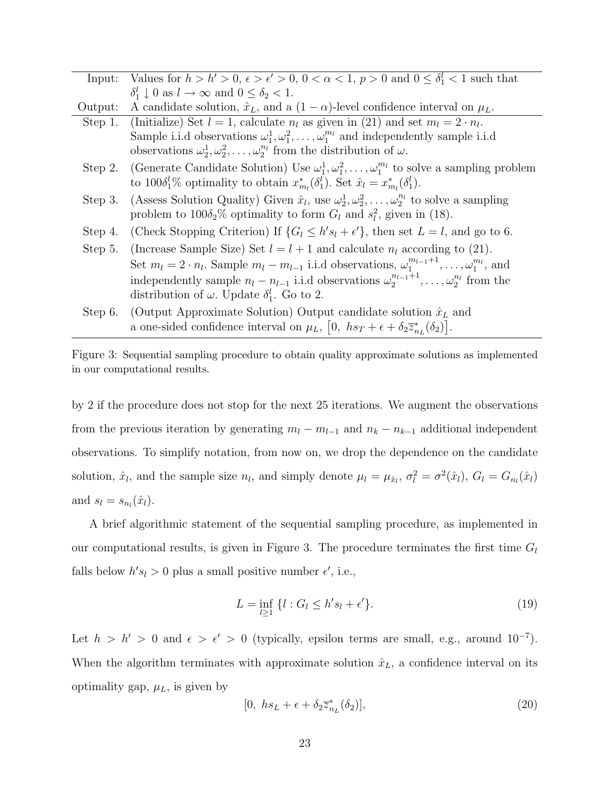| Input:  | Values for $h > h' > 0$ , $\epsilon > \epsilon' > 0$ , $0 < \alpha < 1$ , $p > 0$ and $0 \leq \delta_1^l < 1$ such that        |
|---------|--------------------------------------------------------------------------------------------------------------------------------|
|         | $\delta_1^l \downarrow 0$ as $l \to \infty$ and $0 \leq \delta_2 < 1$ .                                                        |
| Output: | A candidate solution, $\hat{x}_L$ , and a $(1 - \alpha)$ -level confidence interval on $\mu_L$ .                               |
|         | Step 1. (Initialize) Set $l = 1$ , calculate $n_l$ as given in (21) and set $m_l = 2 \cdot n_l$ .                              |
|         | Sample i.i.d observations $\omega_1^1, \omega_1^2, \ldots, \omega_1^{m_l}$ and independently sample i.i.d                      |
|         | observations $\omega_2^1, \omega_2^2, \ldots, \omega_2^{n_l}$ from the distribution of $\omega$ .                              |
| Step 2. | (Generate Candidate Solution) Use $\omega_1^1, \omega_1^2, \ldots, \omega_1^{m_l}$ to solve a sampling problem                 |
|         | to $100\delta_1^l\%$ optimality to obtain $x_{m_l}^*(\delta_1^l)$ . Set $\hat{x}_l = x_{m_l}^*(\delta_1^l)$ .                  |
|         | Step 3. (Assess Solution Quality) Given $\hat{x}_l$ , use $\omega_2^1, \omega_2^2, \ldots, \omega_2^{n_l}$ to solve a sampling |
|         | problem to $100\delta_2\%$ optimality to form $G_l$ and $s_l^2$ , given in (18).                                               |
| Step 4. | (Check Stopping Criterion) If $\{G_l \le h's_l + \epsilon'\}$ , then set $L = l$ , and go to 6.                                |
| Step 5. | (Increase Sample Size) Set $l = l + 1$ and calculate $n_l$ according to (21).                                                  |
|         | Set $m_l = 2 \cdot n_l$ . Sample $m_l - m_{l-1}$ i.i.d observations, $\omega_1^{m_{l-1}+1}, \ldots, \omega_1^{m_l}$ , and      |
|         | independently sample $n_l - n_{l-1}$ i.i.d observations $\omega_2^{n_{l-1}+1}, \dots, \omega_2^{n_l}$ from the                 |
|         | distribution of $\omega$ . Update $\delta_1^l$ . Go to 2.                                                                      |
|         | Step 6. (Output Approximate Solution) Output candidate solution $\hat{x}_L$ and                                                |
|         | a one-sided confidence interval on $\mu_L$ , $\left 0, \; h s_T + \epsilon + \delta_2 \overline{z}_{n_L}^*(\delta_2)\right $ . |

Figure 3: Sequential sampling procedure to obtain quality approximate solutions as implemented in our computational results.

by 2 if the procedure does not stop for the next 25 iterations. We augment the observations from the previous iteration by generating  $m_l - m_{l-1}$  and  $n_k - n_{k-1}$  additional independent observations. To simplify notation, from now on, we drop the dependence on the candidate solution,  $\hat{x}_l$ , and the sample size  $n_l$ , and simply denote  $\mu_l = \mu_{\hat{x}_l}$ ,  $\sigma_l^2 = \sigma^2(\hat{x}_l)$ ,  $G_l = G_{n_l}(\hat{x}_l)$ and  $s_l = s_{n_l}(\hat{x}_l)$ .

A brief algorithmic statement of the sequential sampling procedure, as implemented in our computational results, is given in Figure 3. The procedure terminates the first time  $G_l$ falls below  $h's_l > 0$  plus a small positive number  $\epsilon'$ , i.e.,

$$
L = \inf_{l \ge 1} \{ l : G_l \le h's_l + \epsilon' \}. \tag{19}
$$

Let  $h > h' > 0$  and  $\epsilon > \epsilon' > 0$  (typically, epsilon terms are small, e.g., around 10<sup>-7</sup>). When the algorithm terminates with approximate solution  $\hat{x}_L$ , a confidence interval on its optimality gap,  $\mu_L$ , is given by

$$
[0, hs_L + \epsilon + \delta_2 \overline{z}_{n_L}^*(\delta_2)], \qquad (20)
$$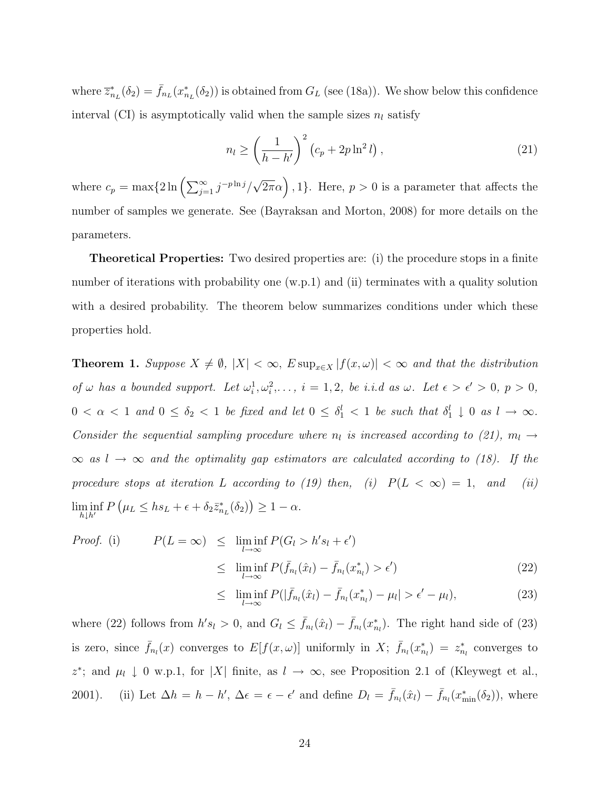where  $\overline{z}_{n_L}^*(\delta_2) = \overline{f}_{n_L}(x_{n_L}^*(\delta_2))$  is obtained from  $G_L$  (see (18a)). We show below this confidence interval (CI) is asymptotically valid when the sample sizes  $n_l$  satisfy

$$
n_l \ge \left(\frac{1}{h - h'}\right)^2 \left(c_p + 2p \ln^2 l\right),\tag{21}
$$

where  $c_p = \max\{2\ln\left(\sum_{j=1}^{\infty} j^{-p\ln j}/\right)$  $\sqrt{2\pi}\alpha$ , 1. Here,  $p > 0$  is a parameter that affects the number of samples we generate. See (Bayraksan and Morton, 2008) for more details on the parameters.

Theoretical Properties: Two desired properties are: (i) the procedure stops in a finite number of iterations with probability one (w.p.1) and (ii) terminates with a quality solution with a desired probability. The theorem below summarizes conditions under which these properties hold.

**Theorem 1.** Suppose  $X \neq \emptyset$ ,  $|X| < \infty$ ,  $E \sup_{x \in X} |f(x, \omega)| < \infty$  and that the distribution of  $\omega$  has a bounded support. Let  $\omega_i^1, \omega_i^2, \ldots$ ,  $i = 1, 2$ , be i.i.d as  $\omega$ . Let  $\epsilon > \epsilon' > 0$ ,  $p > 0$ ,  $0 < \alpha < 1$  and  $0 \leq \delta_2 < 1$  be fixed and let  $0 \leq \delta_1^l < 1$  be such that  $\delta_1^l \downarrow 0$  as  $l \to \infty$ . Consider the sequential sampling procedure where  $n_l$  is increased according to (21),  $m_l \rightarrow$  $\infty$  as  $l \to \infty$  and the optimality gap estimators are calculated according to (18). If the procedure stops at iteration L according to (19) then, (i)  $P(L < \infty) = 1$ , and (ii)  $\liminf_{h \downarrow h'} P\left(\mu_L \leq hs_L + \epsilon + \delta_2 \bar{z}_{n_L}^*(\delta_2)\right) \geq 1 - \alpha.$ 

*Proof.* (i) 
$$
P(L = \infty) \leq \liminf_{l \to \infty} P(G_l > h's_l + \epsilon')
$$

$$
\leq \liminf_{l \to \infty} P(\bar{f}_{n_l}(\hat{x}_l) - \bar{f}_{n_l}(x^*_{n_l}) > \epsilon')
$$
(22)

$$
\leq \liminf_{l \to \infty} P(|\bar{f}_{n_l}(\hat{x}_l) - \bar{f}_{n_l}(x_{n_l}^*) - \mu_l| > \epsilon' - \mu_l), \tag{23}
$$

where (22) follows from  $h's_l > 0$ , and  $G_l \leq \bar{f}_{n_l}(\hat{x}_l) - \bar{f}_{n_l}(x_{n_l}^*)$ . The right hand side of (23) is zero, since  $\bar{f}_{n_l}(x)$  converges to  $E[f(x,\omega)]$  uniformly in X;  $\bar{f}_{n_l}(x_{n_l}^*) = z_{n_l}^*$  converges to z<sup>\*</sup>; and  $\mu_l \downarrow 0$  w.p.1, for |X| finite, as  $l \to \infty$ , see Proposition 2.1 of (Kleywegt et al., 2001). (ii) Let  $\Delta h = h - h'$ ,  $\Delta \epsilon = \epsilon - \epsilon'$  and define  $D_l = \bar{f}_{n_l}(\hat{x}_l) - \bar{f}_{n_l}(x_{\min}^*(\delta_2))$ , where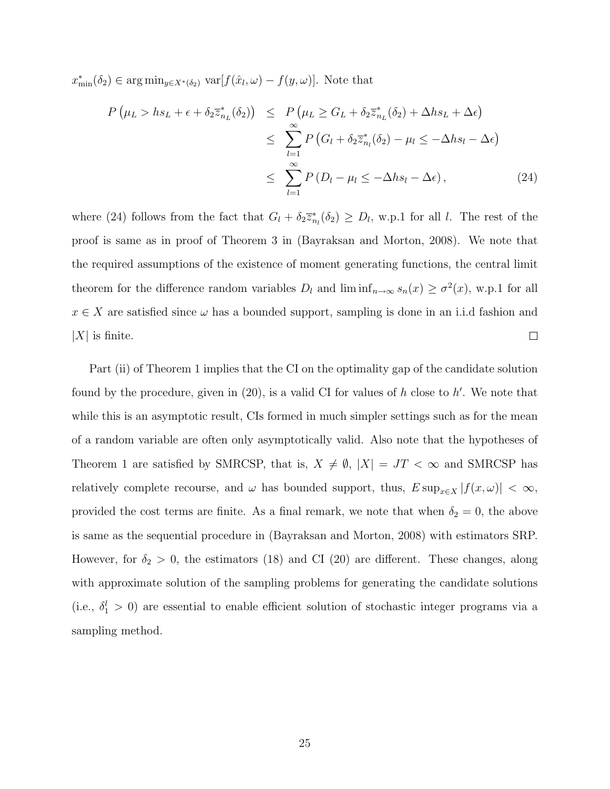$x_{\min}^*(\delta_2) \in \arg \min_{y \in X^*(\delta_2)} \text{var}[f(\hat{x}_l, \omega) - f(y, \omega)].$  Note that

$$
P(\mu_L > hs_L + \epsilon + \delta_2 \overline{z}_{n_L}^*(\delta_2)) \leq P(\mu_L \geq G_L + \delta_2 \overline{z}_{n_L}^*(\delta_2) + \Delta hs_L + \Delta \epsilon)
$$
  

$$
\leq \sum_{l=1}^{\infty} P(G_l + \delta_2 \overline{z}_{n_l}^*(\delta_2) - \mu_l \leq -\Delta hs_l - \Delta \epsilon)
$$
  

$$
\leq \sum_{l=1}^{\infty} P(D_l - \mu_l \leq -\Delta hs_l - \Delta \epsilon), \qquad (24)
$$

where (24) follows from the fact that  $G_l + \delta_2 \overline{z}_{n_l}^*(\delta_2) \geq D_l$ , w.p.1 for all l. The rest of the proof is same as in proof of Theorem 3 in (Bayraksan and Morton, 2008). We note that the required assumptions of the existence of moment generating functions, the central limit theorem for the difference random variables  $D_l$  and  $\liminf_{n\to\infty} s_n(x) \geq \sigma^2(x)$ , w.p.1 for all  $x \in X$  are satisfied since  $\omega$  has a bounded support, sampling is done in an i.i.d fashion and  $|X|$  is finite.  $\Box$ 

Part (ii) of Theorem 1 implies that the CI on the optimality gap of the candidate solution found by the procedure, given in  $(20)$ , is a valid CI for values of h close to h'. We note that while this is an asymptotic result, CIs formed in much simpler settings such as for the mean of a random variable are often only asymptotically valid. Also note that the hypotheses of Theorem 1 are satisfied by SMRCSP, that is,  $X \neq \emptyset$ ,  $|X| = JT < \infty$  and SMRCSP has relatively complete recourse, and  $\omega$  has bounded support, thus,  $E \sup_{x \in X} |f(x, \omega)| < \infty$ , provided the cost terms are finite. As a final remark, we note that when  $\delta_2 = 0$ , the above is same as the sequential procedure in (Bayraksan and Morton, 2008) with estimators SRP. However, for  $\delta_2 > 0$ , the estimators (18) and CI (20) are different. These changes, along with approximate solution of the sampling problems for generating the candidate solutions (i.e.,  $\delta_1^l > 0$ ) are essential to enable efficient solution of stochastic integer programs via a sampling method.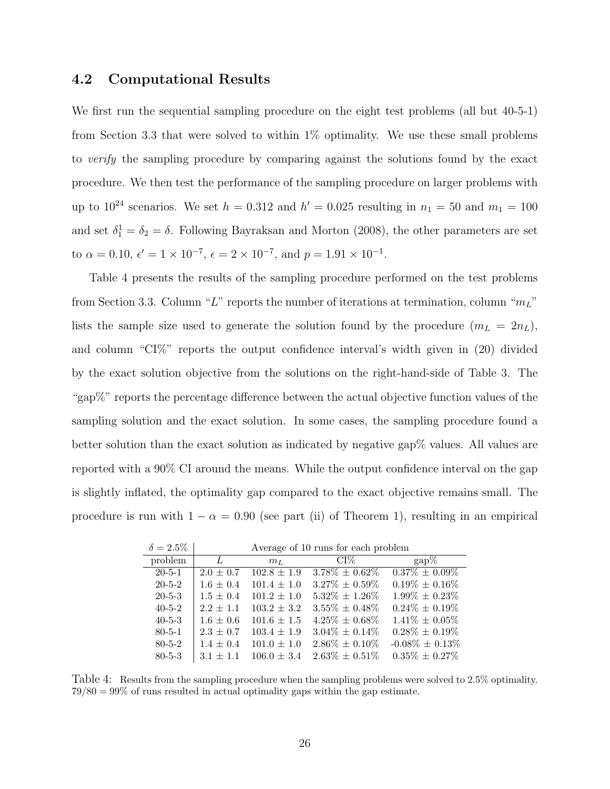#### 4.2 Computational Results

We first run the sequential sampling procedure on the eight test problems (all but 40-5-1) from Section 3.3 that were solved to within 1% optimality. We use these small problems to verify the sampling procedure by comparing against the solutions found by the exact procedure. We then test the performance of the sampling procedure on larger problems with up to  $10^{24}$  scenarios. We set  $h = 0.312$  and  $h' = 0.025$  resulting in  $n_1 = 50$  and  $m_1 = 100$ and set  $\delta_1^1 = \delta_2 = \delta$ . Following Bayraksan and Morton (2008), the other parameters are set to  $\alpha = 0.10, \, \epsilon' = 1 \times 10^{-7}, \, \epsilon = 2 \times 10^{-7}, \, \text{and } p = 1.91 \times 10^{-1}.$ 

Table 4 presents the results of the sampling procedure performed on the test problems from Section 3.3. Column "L" reports the number of iterations at termination, column " $m<sub>L</sub>$ " lists the sample size used to generate the solution found by the procedure  $(m_L = 2n_L)$ , and column "CI%" reports the output confidence interval's width given in (20) divided by the exact solution objective from the solutions on the right-hand-side of Table 3. The "gap%" reports the percentage difference between the actual objective function values of the sampling solution and the exact solution. In some cases, the sampling procedure found a better solution than the exact solution as indicated by negative gap% values. All values are reported with a 90% CI around the means. While the output confidence interval on the gap is slightly inflated, the optimality gap compared to the exact objective remains small. The procedure is run with  $1 - \alpha = 0.90$  (see part (ii) of Theorem 1), resulting in an empirical

| $\delta = 2.5\%$ | Average of 10 runs for each problem |                 |                     |                            |  |  |  |  |
|------------------|-------------------------------------|-----------------|---------------------|----------------------------|--|--|--|--|
| problem          | L                                   | m <sub>L</sub>  | $CI\%$              | $\text{gap}\%$             |  |  |  |  |
| $20 - 5 - 1$     | $2.0 \pm 0.7$                       | $102.8 \pm 1.9$ | $3.78\% \pm 0.62\%$ | $\sqrt{0.37\% \pm 0.09\%}$ |  |  |  |  |
| $20 - 5 - 2$     | $1.6 \pm 0.4$                       | $101.4 \pm 1.0$ | $3.27\% \pm 0.59\%$ | $0.19\% \pm 0.16\%$        |  |  |  |  |
| $20 - 5 - 3$     | $1.5 \pm 0.4$                       | $101.2 \pm 1.0$ | $5.32\% \pm 1.26\%$ | $1.99\% \pm 0.23\%$        |  |  |  |  |
| $40 - 5 - 2$     | $2.2 + 1.1$                         | $103.2 \pm 3.2$ | $3.55\% \pm 0.48\%$ | $0.24\% \pm 0.19\%$        |  |  |  |  |
| $40 - 5 - 3$     | $1.6 \pm 0.6$                       | $101.6 \pm 1.5$ | $4.25\% \pm 0.68\%$ | $1.41\% \pm 0.05\%$        |  |  |  |  |
| $80 - 5 - 1$     | $2.3 \pm 0.7$                       | $103.4 \pm 1.9$ | $3.04\% \pm 0.14\%$ | $0.28\% \pm 0.19\%$        |  |  |  |  |
| $80 - 5 - 2$     | $1.4 \pm 0.4$                       | $101.0 \pm 1.0$ | $2.86\% \pm 0.10\%$ | $-0.08\% \pm 0.13\%$       |  |  |  |  |
| $80 - 5 - 3$     | $3.1 + 1.1$                         | $106.0 \pm 3.4$ | $2.63\% \pm 0.51\%$ | $0.35\% \pm 0.27\%$        |  |  |  |  |

Table 4: Results from the sampling procedure when the sampling problems were solved to 2.5% optimality.  $79/80 = 99\%$  of runs resulted in actual optimality gaps within the gap estimate.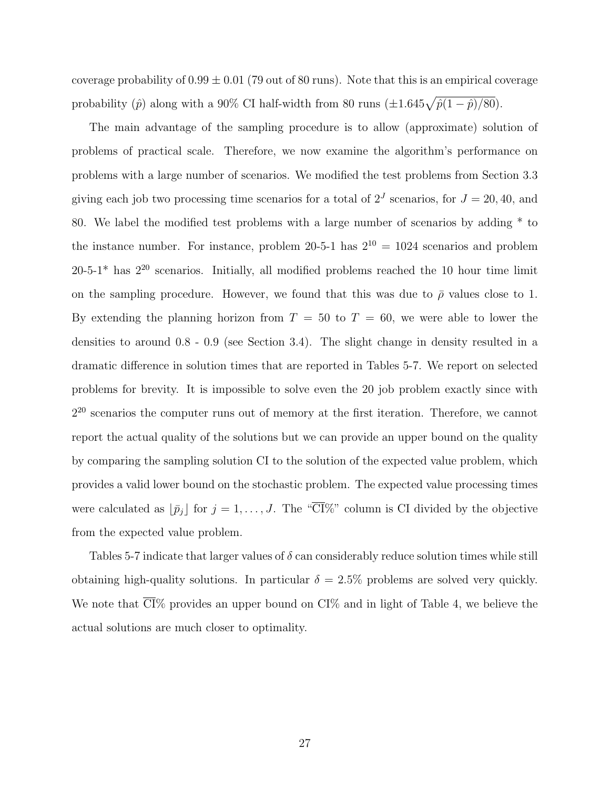coverage probability of  $0.99 \pm 0.01$  (79 out of 80 runs). Note that this is an empirical coverage probability ( $\hat{p}$ ) along with a 90% CI half-width from 80 runs ( $\pm 1.645\sqrt{\hat{p}(1-\hat{p})/80}$ ).

The main advantage of the sampling procedure is to allow (approximate) solution of problems of practical scale. Therefore, we now examine the algorithm's performance on problems with a large number of scenarios. We modified the test problems from Section 3.3 giving each job two processing time scenarios for a total of  $2<sup>J</sup>$  scenarios, for  $J = 20, 40,$  and 80. We label the modified test problems with a large number of scenarios by adding \* to the instance number. For instance, problem  $20-5-1$  has  $2^{10} = 1024$  scenarios and problem  $20-5-1*$  has  $2^{20}$  scenarios. Initially, all modified problems reached the 10 hour time limit on the sampling procedure. However, we found that this was due to  $\bar{\rho}$  values close to 1. By extending the planning horizon from  $T = 50$  to  $T = 60$ , we were able to lower the densities to around 0.8 - 0.9 (see Section 3.4). The slight change in density resulted in a dramatic difference in solution times that are reported in Tables 5-7. We report on selected problems for brevity. It is impossible to solve even the 20 job problem exactly since with 2<sup>20</sup> scenarios the computer runs out of memory at the first iteration. Therefore, we cannot report the actual quality of the solutions but we can provide an upper bound on the quality by comparing the sampling solution CI to the solution of the expected value problem, which provides a valid lower bound on the stochastic problem. The expected value processing times were calculated as  $\lfloor \bar{p}_j \rfloor$  for  $j = 1, ..., J$ . The " $\overline{CI}\%$ " column is CI divided by the objective from the expected value problem.

Tables 5-7 indicate that larger values of  $\delta$  can considerably reduce solution times while still obtaining high-quality solutions. In particular  $\delta = 2.5\%$  problems are solved very quickly. We note that  $\overline{CI}\%$  provides an upper bound on  $CI\%$  and in light of Table 4, we believe the actual solutions are much closer to optimality.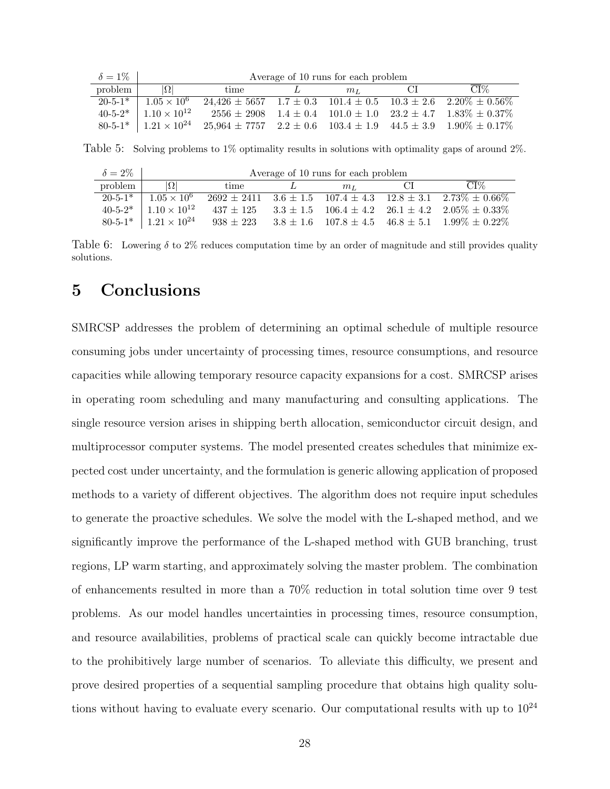| $\delta = 1\%$ | Average of 10 runs for each problem |      |  |         |      |                                                                                                 |  |  |  |  |
|----------------|-------------------------------------|------|--|---------|------|-------------------------------------------------------------------------------------------------|--|--|--|--|
| problem        | $ \Omega $                          | time |  | $m_{L}$ | - CH | CI%                                                                                             |  |  |  |  |
| $20 - 5 - 1*$  | $1.05 \times 10^{6}$                |      |  |         |      | $24,426 \pm 5657$ $1.7 \pm 0.3$ $101.4 \pm 0.5$ $10.3 \pm 2.6$ $2.20\% \pm 0.56\%$              |  |  |  |  |
| $40 - 5 - 2^*$ | $1.10 \times 10^{12}$               |      |  |         |      | $2556 \pm 2908$ $1.4 \pm 0.4$ $101.0 \pm 1.0$ $23.2 \pm 4.7$ $1.83\% \pm 0.37\%$                |  |  |  |  |
|                |                                     |      |  |         |      | $80-5-1^*$   $1.21 \times 10^{24}$ 25,964 ± 7757 2.2 ± 0.6 103.4 ± 1.9 44.5 ± 3.9 1.90% ± 0.17% |  |  |  |  |

Table 5: Solving problems to 1% optimality results in solutions with optimality gaps of around 2%.

| $\delta = 2\%$ | Average of 10 runs for each problem |             |              |                |      |                                                                                  |  |  |  |  |
|----------------|-------------------------------------|-------------|--------------|----------------|------|----------------------------------------------------------------------------------|--|--|--|--|
| problem        | $ \Omega $                          | time        | $\mathbf{L}$ | m <sub>L</sub> | - CT | $CI\%$                                                                           |  |  |  |  |
| $20 - 5 - 1*$  | $1.05 \times 10^6$                  |             |              |                |      | $2692 \pm 2411$ $3.6 \pm 1.5$ $107.4 \pm 4.3$ $12.8 \pm 3.1$ $2.73\% \pm 0.66\%$ |  |  |  |  |
|                | $40-5-2^*$   $1.10 \times 10^{12}$  |             |              |                |      | $437 \pm 125$ $3.3 \pm 1.5$ $106.4 \pm 4.2$ $26.1 \pm 4.2$ $2.05\% \pm 0.33\%$   |  |  |  |  |
|                | $80-5-1^*$   $1.21 \times 10^{24}$  | $938 + 223$ |              |                |      | $3.8 \pm 1.6$ $107.8 \pm 4.5$ $46.8 \pm 5.1$ $1.99\% \pm 0.22\%$                 |  |  |  |  |

Table 6: Lowering  $\delta$  to 2% reduces computation time by an order of magnitude and still provides quality solutions.

# 5 Conclusions

SMRCSP addresses the problem of determining an optimal schedule of multiple resource consuming jobs under uncertainty of processing times, resource consumptions, and resource capacities while allowing temporary resource capacity expansions for a cost. SMRCSP arises in operating room scheduling and many manufacturing and consulting applications. The single resource version arises in shipping berth allocation, semiconductor circuit design, and multiprocessor computer systems. The model presented creates schedules that minimize expected cost under uncertainty, and the formulation is generic allowing application of proposed methods to a variety of different objectives. The algorithm does not require input schedules to generate the proactive schedules. We solve the model with the L-shaped method, and we significantly improve the performance of the L-shaped method with GUB branching, trust regions, LP warm starting, and approximately solving the master problem. The combination of enhancements resulted in more than a 70% reduction in total solution time over 9 test problems. As our model handles uncertainties in processing times, resource consumption, and resource availabilities, problems of practical scale can quickly become intractable due to the prohibitively large number of scenarios. To alleviate this difficulty, we present and prove desired properties of a sequential sampling procedure that obtains high quality solutions without having to evaluate every scenario. Our computational results with up to  $10^{24}$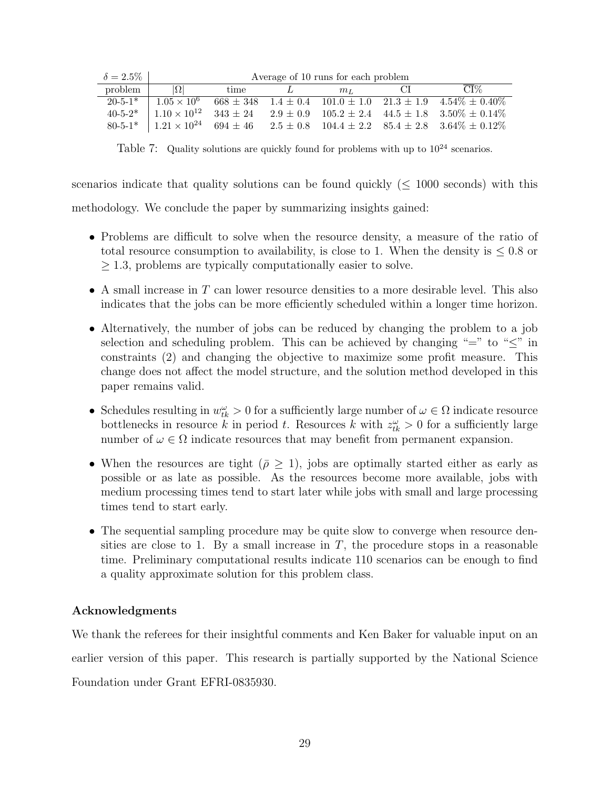| $\delta = 2.5\%$ | Average of 10 runs for each problem |      |             |       |        |                                                                                                                  |
|------------------|-------------------------------------|------|-------------|-------|--------|------------------------------------------------------------------------------------------------------------------|
| problem          | $ \Omega $                          | time | $L$ and $L$ | $m_L$ | - CI - | $\overline{\text{CT}}\%$                                                                                         |
|                  |                                     |      |             |       |        | $\frac{1}{20.5}$ -1*   $1.05 \times 10^6$ 668 ± 348 1.4 ± 0.4 101.0 ± 1.0 21.3 ± 1.9 4.54% ± 0.40%               |
|                  |                                     |      |             |       |        | $40-5-2^*$   $1.10 \times 10^{12}$ $343 \pm 24$ $2.9 \pm 0.9$ $105.2 \pm 2.4$ $44.5 \pm 1.8$ $3.50\% \pm 0.14\%$ |
|                  |                                     |      |             |       |        | $80-5-1^*$   $1.21 \times 10^{24}$ 694 ± 46 2.5 ± 0.8 104.4 ± 2.2 85.4 ± 2.8 3.64% ± 0.12%                       |

Table 7: Quality solutions are quickly found for problems with up to  $10^{24}$  scenarios.

scenarios indicate that quality solutions can be found quickly  $\leq 1000$  seconds) with this

methodology. We conclude the paper by summarizing insights gained:

- Problems are difficult to solve when the resource density, a measure of the ratio of total resource consumption to availability, is close to 1. When the density is  $\leq 0.8$  or  $\geq$  1.3, problems are typically computationally easier to solve.
- $\bullet$  A small increase in T can lower resource densities to a more desirable level. This also indicates that the jobs can be more efficiently scheduled within a longer time horizon.
- Alternatively, the number of jobs can be reduced by changing the problem to a job selection and scheduling problem. This can be achieved by changing "=" to " $\leq$ " in constraints (2) and changing the objective to maximize some profit measure. This change does not affect the model structure, and the solution method developed in this paper remains valid.
- Schedules resulting in  $w_{tk}^{\omega} > 0$  for a sufficiently large number of  $\omega \in \Omega$  indicate resource bottlenecks in resource k in period t. Resources k with  $z_{tk}^{\omega} > 0$  for a sufficiently large number of  $\omega \in \Omega$  indicate resources that may benefit from permanent expansion.
- When the resources are tight  $(\bar{\rho} \geq 1)$ , jobs are optimally started either as early as possible or as late as possible. As the resources become more available, jobs with medium processing times tend to start later while jobs with small and large processing times tend to start early.
- The sequential sampling procedure may be quite slow to converge when resource densities are close to 1. By a small increase in  $T$ , the procedure stops in a reasonable time. Preliminary computational results indicate 110 scenarios can be enough to find a quality approximate solution for this problem class.

#### Acknowledgments

We thank the referees for their insightful comments and Ken Baker for valuable input on an earlier version of this paper. This research is partially supported by the National Science Foundation under Grant EFRI-0835930.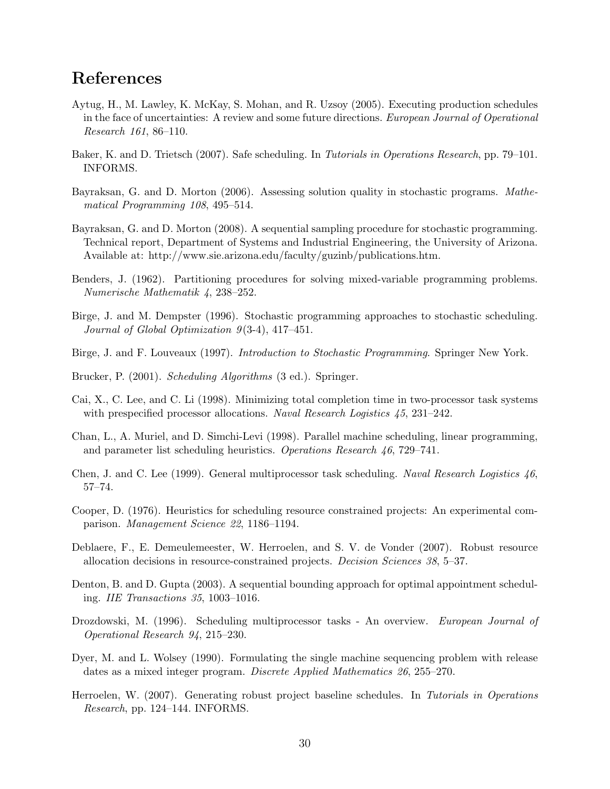### References

- Aytug, H., M. Lawley, K. McKay, S. Mohan, and R. Uzsoy (2005). Executing production schedules in the face of uncertainties: A review and some future directions. European Journal of Operational Research 161, 86–110.
- Baker, K. and D. Trietsch (2007). Safe scheduling. In Tutorials in Operations Research, pp. 79–101. INFORMS.
- Bayraksan, G. and D. Morton (2006). Assessing solution quality in stochastic programs. Mathematical Programming 108, 495–514.
- Bayraksan, G. and D. Morton (2008). A sequential sampling procedure for stochastic programming. Technical report, Department of Systems and Industrial Engineering, the University of Arizona. Available at: http://www.sie.arizona.edu/faculty/guzinb/publications.htm.
- Benders, J. (1962). Partitioning procedures for solving mixed-variable programming problems. Numerische Mathematik 4, 238–252.
- Birge, J. and M. Dempster (1996). Stochastic programming approaches to stochastic scheduling. Journal of Global Optimization  $9(3-4)$ , 417-451.
- Birge, J. and F. Louveaux (1997). Introduction to Stochastic Programming. Springer New York.
- Brucker, P. (2001). Scheduling Algorithms (3 ed.). Springer.
- Cai, X., C. Lee, and C. Li (1998). Minimizing total completion time in two-processor task systems with prespecified processor allocations. Naval Research Logistics 45, 231–242.
- Chan, L., A. Muriel, and D. Simchi-Levi (1998). Parallel machine scheduling, linear programming, and parameter list scheduling heuristics. Operations Research 46, 729–741.
- Chen, J. and C. Lee (1999). General multiprocessor task scheduling. Naval Research Logistics 46, 57–74.
- Cooper, D. (1976). Heuristics for scheduling resource constrained projects: An experimental comparison. Management Science 22, 1186–1194.
- Deblaere, F., E. Demeulemeester, W. Herroelen, and S. V. de Vonder (2007). Robust resource allocation decisions in resource-constrained projects. Decision Sciences 38, 5–37.
- Denton, B. and D. Gupta (2003). A sequential bounding approach for optimal appointment scheduling. IIE Transactions 35, 1003–1016.
- Drozdowski, M. (1996). Scheduling multiprocessor tasks An overview. European Journal of Operational Research 94, 215–230.
- Dyer, M. and L. Wolsey (1990). Formulating the single machine sequencing problem with release dates as a mixed integer program. Discrete Applied Mathematics 26, 255–270.
- Herroelen, W. (2007). Generating robust project baseline schedules. In Tutorials in Operations Research, pp. 124–144. INFORMS.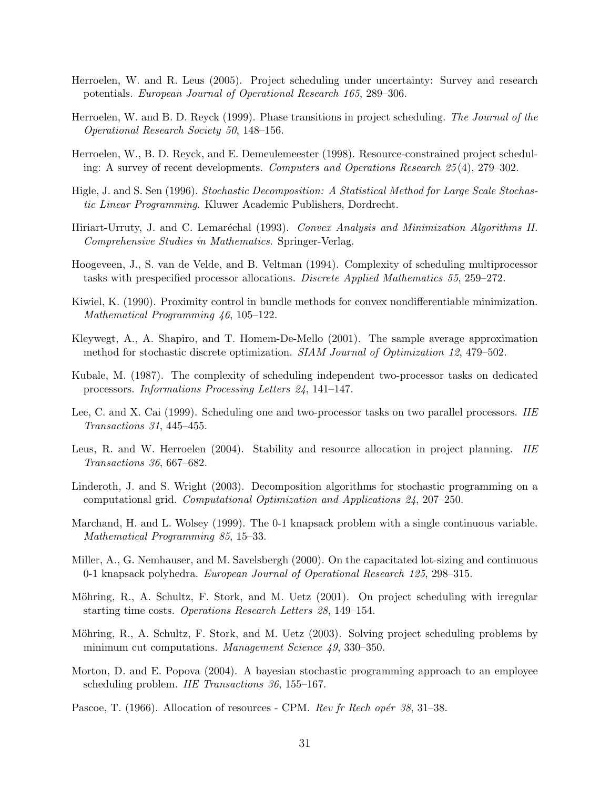- Herroelen, W. and R. Leus (2005). Project scheduling under uncertainty: Survey and research potentials. European Journal of Operational Research 165, 289–306.
- Herroelen, W. and B. D. Reyck (1999). Phase transitions in project scheduling. The Journal of the Operational Research Society 50, 148–156.
- Herroelen, W., B. D. Reyck, and E. Demeulemeester (1998). Resource-constrained project scheduling: A survey of recent developments. Computers and Operations Research 25 (4), 279–302.
- Higle, J. and S. Sen (1996). Stochastic Decomposition: A Statistical Method for Large Scale Stochastic Linear Programming. Kluwer Academic Publishers, Dordrecht.
- Hiriart-Urruty, J. and C. Lemaréchal (1993). Convex Analysis and Minimization Algorithms II. Comprehensive Studies in Mathematics. Springer-Verlag.
- Hoogeveen, J., S. van de Velde, and B. Veltman (1994). Complexity of scheduling multiprocessor tasks with prespecified processor allocations. Discrete Applied Mathematics 55, 259–272.
- Kiwiel, K. (1990). Proximity control in bundle methods for convex nondifferentiable minimization. Mathematical Programming 46, 105–122.
- Kleywegt, A., A. Shapiro, and T. Homem-De-Mello (2001). The sample average approximation method for stochastic discrete optimization. *SIAM Journal of Optimization 12*, 479–502.
- Kubale, M. (1987). The complexity of scheduling independent two-processor tasks on dedicated processors. Informations Processing Letters 24, 141–147.
- Lee, C. and X. Cai (1999). Scheduling one and two-processor tasks on two parallel processors. IIE Transactions 31, 445–455.
- Leus, R. and W. Herroelen (2004). Stability and resource allocation in project planning. IIE Transactions 36, 667–682.
- Linderoth, J. and S. Wright (2003). Decomposition algorithms for stochastic programming on a computational grid. Computational Optimization and Applications 24, 207–250.
- Marchand, H. and L. Wolsey (1999). The 0-1 knapsack problem with a single continuous variable. Mathematical Programming 85, 15–33.
- Miller, A., G. Nemhauser, and M. Savelsbergh (2000). On the capacitated lot-sizing and continuous 0-1 knapsack polyhedra. European Journal of Operational Research 125, 298–315.
- Möhring, R., A. Schultz, F. Stork, and M. Uetz (2001). On project scheduling with irregular starting time costs. Operations Research Letters 28, 149–154.
- Möhring, R., A. Schultz, F. Stork, and M. Uetz (2003). Solving project scheduling problems by minimum cut computations. Management Science 49, 330–350.
- Morton, D. and E. Popova (2004). A bayesian stochastic programming approach to an employee scheduling problem. IIE Transactions 36, 155–167.
- Pascoe, T. (1966). Allocation of resources CPM. Rev fr Rech opér 38, 31–38.